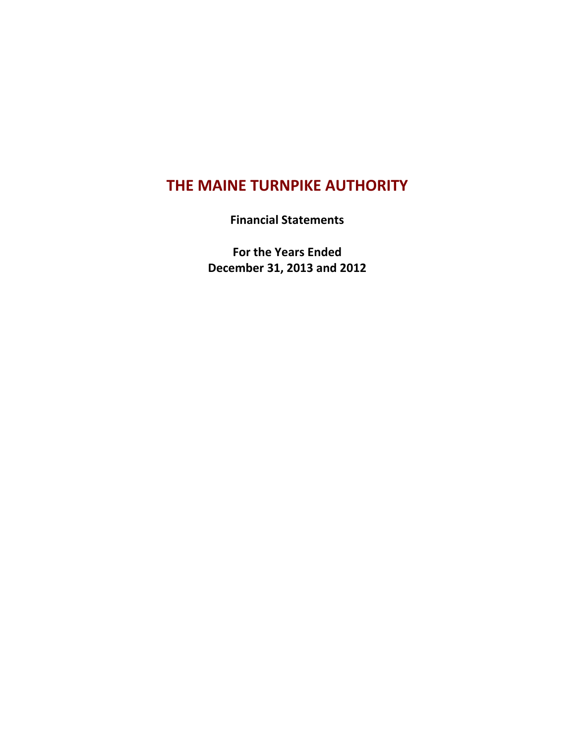# **THE MAINE TURNPIKE AUTHORITY**

**Financial Statements**

**For the Years Ended December 31, 2013 and 2012**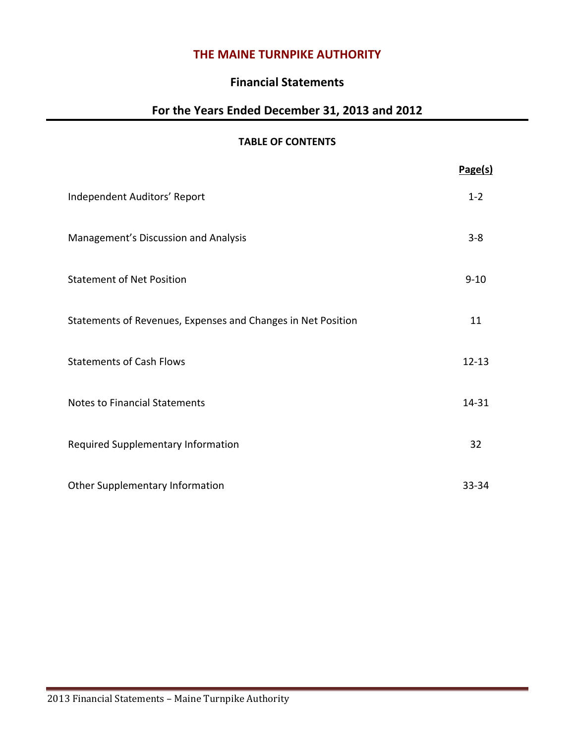# **THE MAINE TURNPIKE AUTHORITY**

# **Financial Statements**

# **For the Years Ended December 31, 2013 and 2012**

# **TABLE OF CONTENTS**

|                                                              | Page(s)   |
|--------------------------------------------------------------|-----------|
| Independent Auditors' Report                                 | $1 - 2$   |
| Management's Discussion and Analysis                         | $3 - 8$   |
| <b>Statement of Net Position</b>                             | $9 - 10$  |
| Statements of Revenues, Expenses and Changes in Net Position | 11        |
| <b>Statements of Cash Flows</b>                              | $12 - 13$ |
| <b>Notes to Financial Statements</b>                         | 14-31     |
| Required Supplementary Information                           | 32        |
| Other Supplementary Information                              | 33-34     |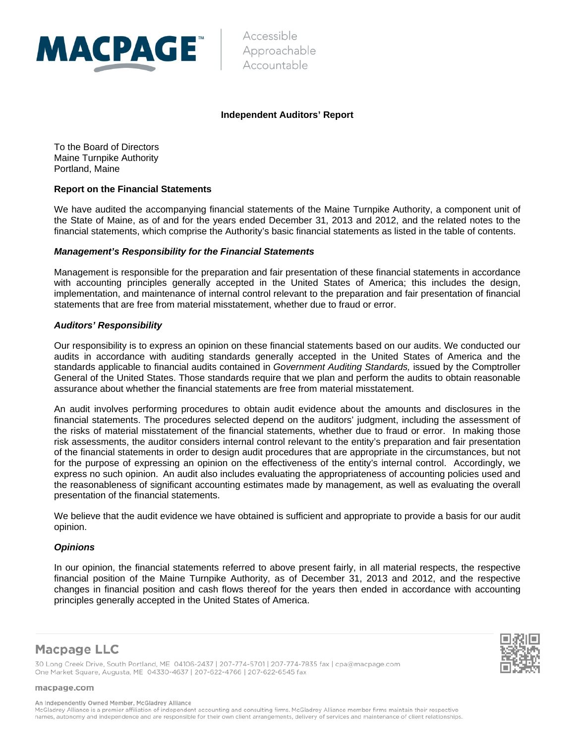

Accessible Approachable Accountable

#### **Independent Auditors' Report**

To the Board of Directors Maine Turnpike Authority Portland, Maine

#### **Report on the Financial Statements**

We have audited the accompanying financial statements of the Maine Turnpike Authority, a component unit of the State of Maine, as of and for the years ended December 31, 2013 and 2012, and the related notes to the financial statements, which comprise the Authority's basic financial statements as listed in the table of contents.

#### *Management's Responsibility for the Financial Statements*

Management is responsible for the preparation and fair presentation of these financial statements in accordance with accounting principles generally accepted in the United States of America; this includes the design, implementation, and maintenance of internal control relevant to the preparation and fair presentation of financial statements that are free from material misstatement, whether due to fraud or error.

#### *Auditors' Responsibility*

Our responsibility is to express an opinion on these financial statements based on our audits. We conducted our audits in accordance with auditing standards generally accepted in the United States of America and the standards applicable to financial audits contained in *Government Auditing Standards,* issued by the Comptroller General of the United States. Those standards require that we plan and perform the audits to obtain reasonable assurance about whether the financial statements are free from material misstatement.

An audit involves performing procedures to obtain audit evidence about the amounts and disclosures in the financial statements. The procedures selected depend on the auditors' judgment, including the assessment of the risks of material misstatement of the financial statements, whether due to fraud or error. In making those risk assessments, the auditor considers internal control relevant to the entity's preparation and fair presentation of the financial statements in order to design audit procedures that are appropriate in the circumstances, but not for the purpose of expressing an opinion on the effectiveness of the entity's internal control. Accordingly, we express no such opinion. An audit also includes evaluating the appropriateness of accounting policies used and the reasonableness of significant accounting estimates made by management, as well as evaluating the overall presentation of the financial statements.

We believe that the audit evidence we have obtained is sufficient and appropriate to provide a basis for our audit opinion.

#### *Opinions*

In our opinion, the financial statements referred to above present fairly, in all material respects, the respective financial position of the Maine Turnpike Authority, as of December 31, 2013 and 2012, and the respective changes in financial position and cash flows thereof for the years then ended in accordance with accounting principles generally accepted in the United States of America.

# **Macpage LLC**

30 Long Creek Drive, South Portland, ME 04106-2437 | 207-774-5701 | 207-774-7835 fax | cpa@macpage.com One Market Square, Augusta, ME 04330-4637 | 207-622-4766 | 207-622-6545 fax

macpage.com

An Independently Owned Member, McGladrey Alliance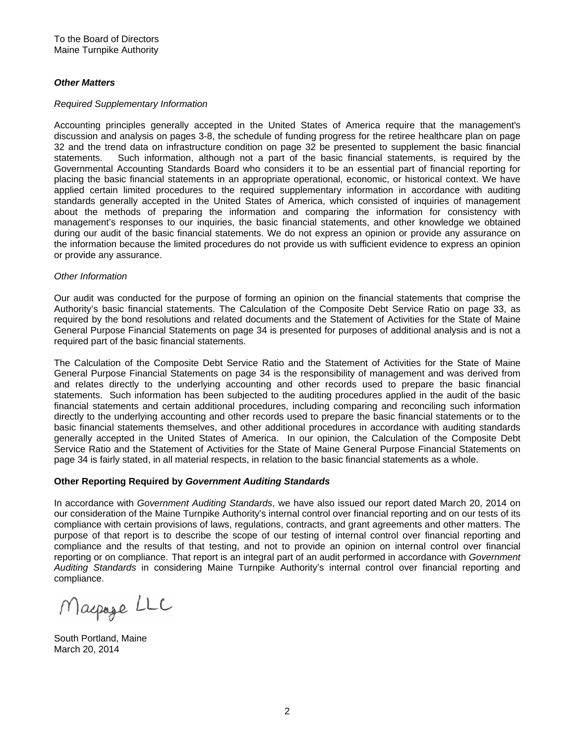#### *Other Matters*

#### *Required Supplementary Information*

Accounting principles generally accepted in the United States of America require that the management's discussion and analysis on pages 3-8, the schedule of funding progress for the retiree healthcare plan on page 32 and the trend data on infrastructure condition on page 32 be presented to supplement the basic financial statements. Such information, although not a part of the basic financial statements, is required by the Governmental Accounting Standards Board who considers it to be an essential part of financial reporting for placing the basic financial statements in an appropriate operational, economic, or historical context. We have applied certain limited procedures to the required supplementary information in accordance with auditing standards generally accepted in the United States of America, which consisted of inquiries of management about the methods of preparing the information and comparing the information for consistency with management's responses to our inquiries, the basic financial statements, and other knowledge we obtained during our audit of the basic financial statements. We do not express an opinion or provide any assurance on the information because the limited procedures do not provide us with sufficient evidence to express an opinion or provide any assurance.

#### *Other Information*

Our audit was conducted for the purpose of forming an opinion on the financial statements that comprise the Authority's basic financial statements. The Calculation of the Composite Debt Service Ratio on page 33, as required by the bond resolutions and related documents and the Statement of Activities for the State of Maine General Purpose Financial Statements on page 34 is presented for purposes of additional analysis and is not a required part of the basic financial statements.

The Calculation of the Composite Debt Service Ratio and the Statement of Activities for the State of Maine General Purpose Financial Statements on page 34 is the responsibility of management and was derived from and relates directly to the underlying accounting and other records used to prepare the basic financial statements. Such information has been subjected to the auditing procedures applied in the audit of the basic financial statements and certain additional procedures, including comparing and reconciling such information directly to the underlying accounting and other records used to prepare the basic financial statements or to the basic financial statements themselves, and other additional procedures in accordance with auditing standards generally accepted in the United States of America. In our opinion, the Calculation of the Composite Debt Service Ratio and the Statement of Activities for the State of Maine General Purpose Financial Statements on page 34 is fairly stated, in all material respects, in relation to the basic financial statements as a whole.

#### **Other Reporting Required by** *Government Auditing Standards*

In accordance with *Government Auditing Standards*, we have also issued our report dated March 20, 2014 on our consideration of the Maine Turnpike Authority's internal control over financial reporting and on our tests of its compliance with certain provisions of laws, regulations, contracts, and grant agreements and other matters. The purpose of that report is to describe the scope of our testing of internal control over financial reporting and compliance and the results of that testing, and not to provide an opinion on internal control over financial reporting or on compliance. That report is an integral part of an audit performed in accordance with *Government Auditing Standards* in considering Maine Turnpike Authority's internal control over financial reporting and compliance.

Macpage LLC

South Portland, Maine March 20, 2014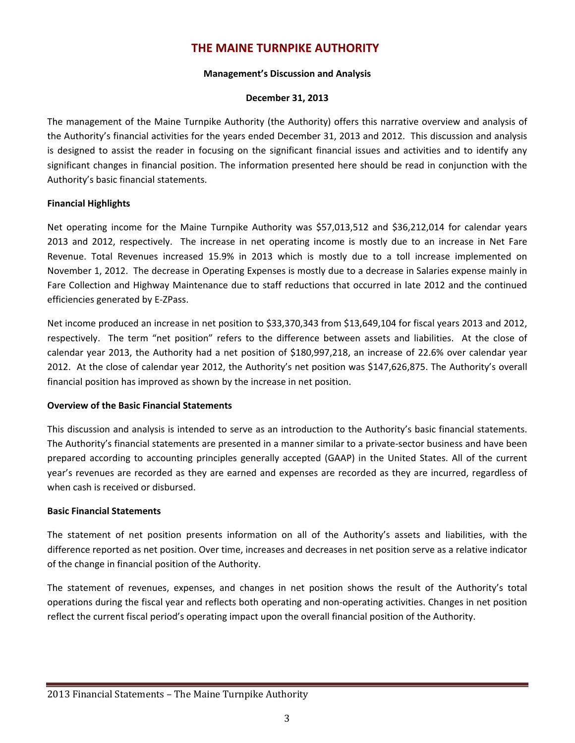# **THE MAINE TURNPIKE AUTHORITY**

#### **Management's Discussion and Analysis**

#### **December 31, 2013**

The management of the Maine Turnpike Authority (the Authority) offers this narrative overview and analysis of the Authority's financial activities for the years ended December 31, 2013 and 2012. This discussion and analysis is designed to assist the reader in focusing on the significant financial issues and activities and to identify any significant changes in financial position. The information presented here should be read in conjunction with the Authority's basic financial statements.

# **Financial Highlights**

Net operating income for the Maine Turnpike Authority was \$57,013,512 and \$36,212,014 for calendar years 2013 and 2012, respectively. The increase in net operating income is mostly due to an increase in Net Fare Revenue. Total Revenues increased 15.9% in 2013 which is mostly due to a toll increase implemented on November 1, 2012. The decrease in Operating Expenses is mostly due to a decrease in Salaries expense mainly in Fare Collection and Highway Maintenance due to staff reductions that occurred in late 2012 and the continued efficiencies generated by E‐ZPass.

Net income produced an increase in net position to \$33,370,343 from \$13,649,104 for fiscal years 2013 and 2012, respectively. The term "net position" refers to the difference between assets and liabilities. At the close of calendar year 2013, the Authority had a net position of \$180,997,218, an increase of 22.6% over calendar year 2012. At the close of calendar year 2012, the Authority's net position was \$147,626,875. The Authority's overall financial position has improved as shown by the increase in net position.

# **Overview of the Basic Financial Statements**

This discussion and analysis is intended to serve as an introduction to the Authority's basic financial statements. The Authority's financial statements are presented in a manner similar to a private-sector business and have been prepared according to accounting principles generally accepted (GAAP) in the United States. All of the current year's revenues are recorded as they are earned and expenses are recorded as they are incurred, regardless of when cash is received or disbursed.

# **Basic Financial Statements**

The statement of net position presents information on all of the Authority's assets and liabilities, with the difference reported as net position. Over time, increases and decreases in net position serve as a relative indicator of the change in financial position of the Authority.

The statement of revenues, expenses, and changes in net position shows the result of the Authority's total operations during the fiscal year and reflects both operating and non‐operating activities. Changes in net position reflect the current fiscal period's operating impact upon the overall financial position of the Authority.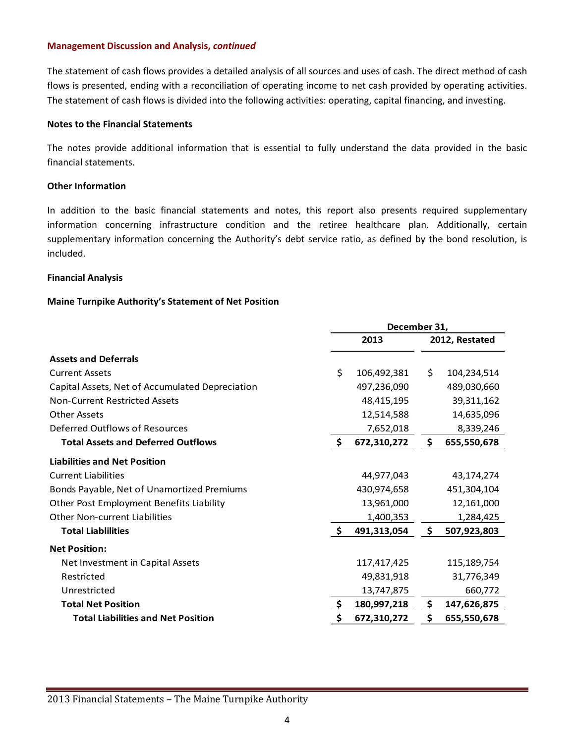The statement of cash flows provides a detailed analysis of all sources and uses of cash. The direct method of cash flows is presented, ending with a reconciliation of operating income to net cash provided by operating activities. The statement of cash flows is divided into the following activities: operating, capital financing, and investing.

# **Notes to the Financial Statements**

The notes provide additional information that is essential to fully understand the data provided in the basic financial statements.

# **Other Information**

In addition to the basic financial statements and notes, this report also presents required supplementary information concerning infrastructure condition and the retiree healthcare plan. Additionally, certain supplementary information concerning the Authority's debt service ratio, as defined by the bond resolution, is included.

#### **Financial Analysis**

# **Maine Turnpike Authority's Statement of Net Position**

|                                                 | December 31, |             |    |                |  |
|-------------------------------------------------|--------------|-------------|----|----------------|--|
|                                                 | 2013         |             |    | 2012, Restated |  |
| <b>Assets and Deferrals</b>                     |              |             |    |                |  |
| <b>Current Assets</b>                           | \$           | 106,492,381 | \$ | 104,234,514    |  |
| Capital Assets, Net of Accumulated Depreciation |              | 497,236,090 |    | 489,030,660    |  |
| Non-Current Restricted Assets                   |              | 48,415,195  |    | 39,311,162     |  |
| <b>Other Assets</b>                             |              | 12,514,588  |    | 14,635,096     |  |
| Deferred Outflows of Resources                  |              | 7,652,018   |    | 8,339,246      |  |
| <b>Total Assets and Deferred Outflows</b>       | $\mathsf{S}$ | 672,310,272 | \$ | 655,550,678    |  |
| <b>Liabilities and Net Position</b>             |              |             |    |                |  |
| <b>Current Liabilities</b>                      |              | 44,977,043  |    | 43,174,274     |  |
| Bonds Payable, Net of Unamortized Premiums      |              | 430,974,658 |    | 451,304,104    |  |
| <b>Other Post Employment Benefits Liability</b> |              | 13,961,000  |    | 12,161,000     |  |
| Other Non-current Liabilities                   |              | 1,400,353   |    | 1,284,425      |  |
| <b>Total Liablilities</b>                       | $\mathsf{S}$ | 491,313,054 | \$ | 507,923,803    |  |
| <b>Net Position:</b>                            |              |             |    |                |  |
| Net Investment in Capital Assets                |              | 117,417,425 |    | 115,189,754    |  |
| Restricted                                      |              | 49,831,918  |    | 31,776,349     |  |
| Unrestricted                                    |              | 13,747,875  |    | 660,772        |  |
| <b>Total Net Position</b>                       | \$           | 180,997,218 | \$ | 147,626,875    |  |
| <b>Total Liabilities and Net Position</b>       | \$           | 672,310,272 | \$ | 655,550,678    |  |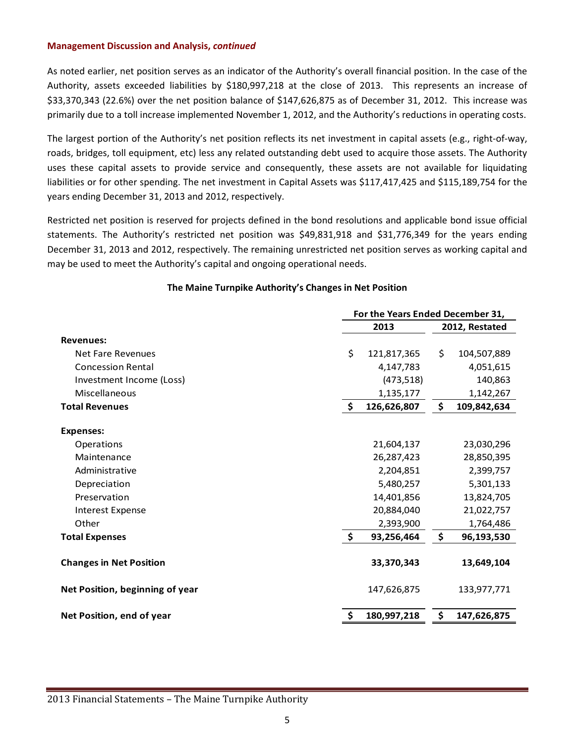As noted earlier, net position serves as an indicator of the Authority's overall financial position. In the case of the Authority, assets exceeded liabilities by \$180,997,218 at the close of 2013. This represents an increase of \$33,370,343 (22.6%) over the net position balance of \$147,626,875 as of December 31, 2012. This increase was primarily due to a toll increase implemented November 1, 2012, and the Authority's reductions in operating costs.

The largest portion of the Authority's net position reflects its net investment in capital assets (e.g., right-of-way, roads, bridges, toll equipment, etc) less any related outstanding debt used to acquire those assets. The Authority uses these capital assets to provide service and consequently, these assets are not available for liquidating liabilities or for other spending. The net investment in Capital Assets was \$117,417,425 and \$115,189,754 for the years ending December 31, 2013 and 2012, respectively.

Restricted net position is reserved for projects defined in the bond resolutions and applicable bond issue official statements. The Authority's restricted net position was \$49,831,918 and \$31,776,349 for the years ending December 31, 2013 and 2012, respectively. The remaining unrestricted net position serves as working capital and may be used to meet the Authority's capital and ongoing operational needs.

|                                 | For the Years Ended December 31,       |             |                |             |  |
|---------------------------------|----------------------------------------|-------------|----------------|-------------|--|
|                                 |                                        | 2013        | 2012, Restated |             |  |
| <b>Revenues:</b>                |                                        |             |                |             |  |
| Net Fare Revenues               | \$                                     | 121,817,365 | \$             | 104,507,889 |  |
| <b>Concession Rental</b>        |                                        | 4,147,783   |                | 4,051,615   |  |
| Investment Income (Loss)        |                                        | (473, 518)  |                | 140,863     |  |
| Miscellaneous                   |                                        | 1,135,177   |                | 1,142,267   |  |
| <b>Total Revenues</b>           | \$                                     | 126,626,807 | \$             | 109,842,634 |  |
| <b>Expenses:</b>                |                                        |             |                |             |  |
| Operations                      |                                        | 21,604,137  |                | 23,030,296  |  |
| Maintenance                     |                                        | 26,287,423  |                | 28,850,395  |  |
| Administrative                  |                                        | 2,204,851   |                | 2,399,757   |  |
| Depreciation                    |                                        | 5,480,257   |                | 5,301,133   |  |
| Preservation                    |                                        | 14,401,856  |                | 13,824,705  |  |
| <b>Interest Expense</b>         |                                        | 20,884,040  |                | 21,022,757  |  |
| Other                           |                                        | 2,393,900   |                | 1,764,486   |  |
| <b>Total Expenses</b>           | $\ddot{\bm{\zeta}}$                    | 93,256,464  | \$             | 96,193,530  |  |
| <b>Changes in Net Position</b>  |                                        | 33,370,343  |                | 13,649,104  |  |
| Net Position, beginning of year |                                        | 147,626,875 |                | 133,977,771 |  |
| Net Position, end of year       | \$<br>180,997,218<br>147,626,875<br>\$ |             |                |             |  |

# **The Maine Turnpike Authority's Changes in Net Position**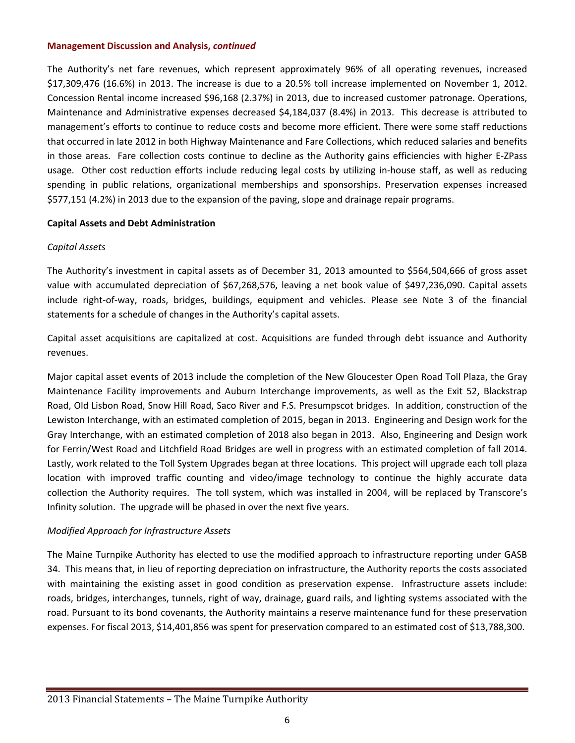The Authority's net fare revenues, which represent approximately 96% of all operating revenues, increased \$17,309,476 (16.6%) in 2013. The increase is due to a 20.5% toll increase implemented on November 1, 2012. Concession Rental income increased \$96,168 (2.37%) in 2013, due to increased customer patronage. Operations, Maintenance and Administrative expenses decreased \$4,184,037 (8.4%) in 2013. This decrease is attributed to management's efforts to continue to reduce costs and become more efficient. There were some staff reductions that occurred in late 2012 in both Highway Maintenance and Fare Collections, which reduced salaries and benefits in those areas. Fare collection costs continue to decline as the Authority gains efficiencies with higher E‐ZPass usage. Other cost reduction efforts include reducing legal costs by utilizing in‐house staff, as well as reducing spending in public relations, organizational memberships and sponsorships. Preservation expenses increased \$577,151 (4.2%) in 2013 due to the expansion of the paving, slope and drainage repair programs.

# **Capital Assets and Debt Administration**

# *Capital Assets*

The Authority's investment in capital assets as of December 31, 2013 amounted to \$564,504,666 of gross asset value with accumulated depreciation of \$67,268,576, leaving a net book value of \$497,236,090. Capital assets include right‐of‐way, roads, bridges, buildings, equipment and vehicles. Please see Note 3 of the financial statements for a schedule of changes in the Authority's capital assets.

Capital asset acquisitions are capitalized at cost. Acquisitions are funded through debt issuance and Authority revenues.

Major capital asset events of 2013 include the completion of the New Gloucester Open Road Toll Plaza, the Gray Maintenance Facility improvements and Auburn Interchange improvements, as well as the Exit 52, Blackstrap Road, Old Lisbon Road, Snow Hill Road, Saco River and F.S. Presumpscot bridges. In addition, construction of the Lewiston Interchange, with an estimated completion of 2015, began in 2013. Engineering and Design work for the Gray Interchange, with an estimated completion of 2018 also began in 2013. Also, Engineering and Design work for Ferrin/West Road and Litchfield Road Bridges are well in progress with an estimated completion of fall 2014. Lastly, work related to the Toll System Upgrades began at three locations. This project will upgrade each toll plaza location with improved traffic counting and video/image technology to continue the highly accurate data collection the Authority requires. The toll system, which was installed in 2004, will be replaced by Transcore's Infinity solution. The upgrade will be phased in over the next five years.

# *Modified Approach for Infrastructure Assets*

The Maine Turnpike Authority has elected to use the modified approach to infrastructure reporting under GASB 34. This means that, in lieu of reporting depreciation on infrastructure, the Authority reports the costs associated with maintaining the existing asset in good condition as preservation expense. Infrastructure assets include: roads, bridges, interchanges, tunnels, right of way, drainage, guard rails, and lighting systems associated with the road. Pursuant to its bond covenants, the Authority maintains a reserve maintenance fund for these preservation expenses. For fiscal 2013, \$14,401,856 was spent for preservation compared to an estimated cost of \$13,788,300.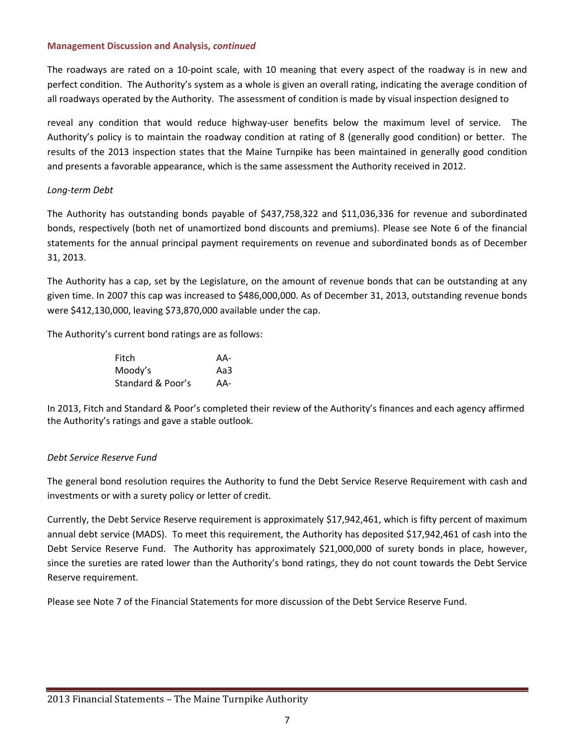The roadways are rated on a 10‐point scale, with 10 meaning that every aspect of the roadway is in new and perfect condition. The Authority's system as a whole is given an overall rating, indicating the average condition of all roadways operated by the Authority. The assessment of condition is made by visual inspection designed to

reveal any condition that would reduce highway-user benefits below the maximum level of service. The Authority's policy is to maintain the roadway condition at rating of 8 (generally good condition) or better. The results of the 2013 inspection states that the Maine Turnpike has been maintained in generally good condition and presents a favorable appearance, which is the same assessment the Authority received in 2012.

# *Long‐term Debt*

The Authority has outstanding bonds payable of \$437,758,322 and \$11,036,336 for revenue and subordinated bonds, respectively (both net of unamortized bond discounts and premiums). Please see Note 6 of the financial statements for the annual principal payment requirements on revenue and subordinated bonds as of December 31, 2013.

The Authority has a cap, set by the Legislature, on the amount of revenue bonds that can be outstanding at any given time. In 2007 this cap was increased to \$486,000,000. As of December 31, 2013, outstanding revenue bonds were \$412,130,000, leaving \$73,870,000 available under the cap.

The Authority's current bond ratings are as follows:

| Fitch             | AA- |
|-------------------|-----|
| Moody's           | Aa3 |
| Standard & Poor's | AA- |

In 2013, Fitch and Standard & Poor's completed their review of the Authority's finances and each agency affirmed the Authority's ratings and gave a stable outlook.

# *Debt Service Reserve Fund*

The general bond resolution requires the Authority to fund the Debt Service Reserve Requirement with cash and investments or with a surety policy or letter of credit.

Currently, the Debt Service Reserve requirement is approximately \$17,942,461, which is fifty percent of maximum annual debt service (MADS). To meet this requirement, the Authority has deposited \$17,942,461 of cash into the Debt Service Reserve Fund. The Authority has approximately \$21,000,000 of surety bonds in place, however, since the sureties are rated lower than the Authority's bond ratings, they do not count towards the Debt Service Reserve requirement.

Please see Note 7 of the Financial Statements for more discussion of the Debt Service Reserve Fund.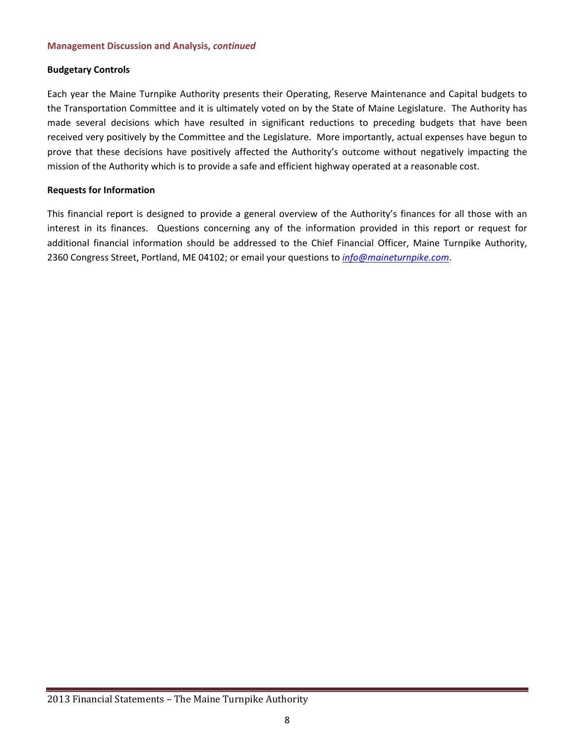# **Budgetary Controls**

Each year the Maine Turnpike Authority presents their Operating, Reserve Maintenance and Capital budgets to the Transportation Committee and it is ultimately voted on by the State of Maine Legislature. The Authority has made several decisions which have resulted in significant reductions to preceding budgets that have been received very positively by the Committee and the Legislature. More importantly, actual expenses have begun to prove that these decisions have positively affected the Authority's outcome without negatively impacting the mission of the Authority which is to provide a safe and efficient highway operated at a reasonable cost.

# **Requests for Information**

This financial report is designed to provide a general overview of the Authority's finances for all those with an interest in its finances. Questions concerning any of the information provided in this report or request for additional financial information should be addressed to the Chief Financial Officer, Maine Turnpike Authority, 2360 Congress Street, Portland, ME 04102; or email your questions to *info@maineturnpike.com*.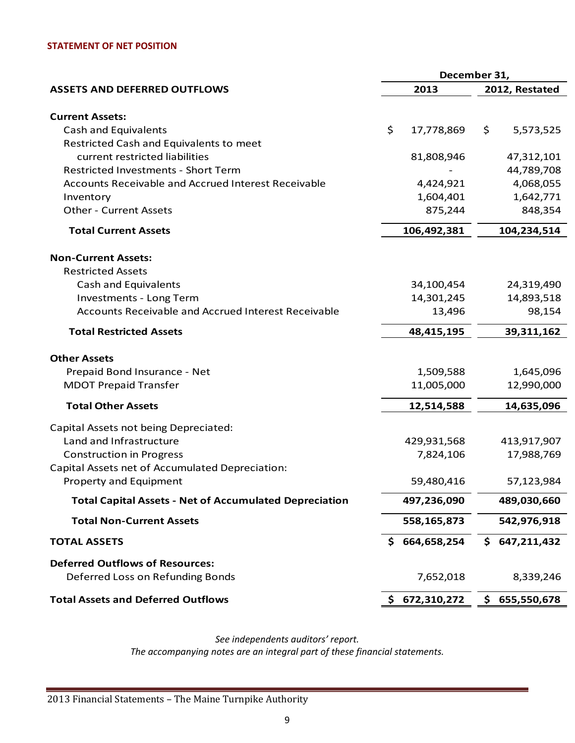#### **STATEMENT OF NET POSITION**

|                                                               | December 31, |               |    |                |
|---------------------------------------------------------------|--------------|---------------|----|----------------|
| <b>ASSETS AND DEFERRED OUTFLOWS</b>                           |              | 2013          |    | 2012, Restated |
|                                                               |              |               |    |                |
| <b>Current Assets:</b>                                        |              |               |    |                |
| Cash and Equivalents                                          | \$           | 17,778,869    | \$ | 5,573,525      |
| Restricted Cash and Equivalents to meet                       |              |               |    |                |
| current restricted liabilities                                |              | 81,808,946    |    | 47,312,101     |
| <b>Restricted Investments - Short Term</b>                    |              |               |    | 44,789,708     |
| <b>Accounts Receivable and Accrued Interest Receivable</b>    |              | 4,424,921     |    | 4,068,055      |
| Inventory                                                     |              | 1,604,401     |    | 1,642,771      |
| <b>Other - Current Assets</b>                                 |              | 875,244       |    | 848,354        |
| <b>Total Current Assets</b>                                   |              | 106,492,381   |    | 104,234,514    |
| <b>Non-Current Assets:</b>                                    |              |               |    |                |
| <b>Restricted Assets</b>                                      |              |               |    |                |
| Cash and Equivalents                                          |              | 34,100,454    |    | 24,319,490     |
| Investments - Long Term                                       |              | 14,301,245    |    | 14,893,518     |
| Accounts Receivable and Accrued Interest Receivable           |              | 13,496        |    | 98,154         |
| <b>Total Restricted Assets</b>                                |              | 48,415,195    |    | 39,311,162     |
| <b>Other Assets</b>                                           |              |               |    |                |
| Prepaid Bond Insurance - Net                                  |              | 1,509,588     |    | 1,645,096      |
| <b>MDOT Prepaid Transfer</b>                                  |              | 11,005,000    |    | 12,990,000     |
|                                                               |              |               |    |                |
| <b>Total Other Assets</b>                                     |              | 12,514,588    |    | 14,635,096     |
| Capital Assets not being Depreciated:                         |              |               |    |                |
| Land and Infrastructure                                       |              | 429,931,568   |    | 413,917,907    |
| <b>Construction in Progress</b>                               |              | 7,824,106     |    | 17,988,769     |
| Capital Assets net of Accumulated Depreciation:               |              |               |    |                |
| Property and Equipment                                        |              | 59,480,416    |    | 57,123,984     |
| <b>Total Capital Assets - Net of Accumulated Depreciation</b> |              | 497,236,090   |    | 489,030,660    |
| <b>Total Non-Current Assets</b>                               |              | 558,165,873   |    | 542,976,918    |
| <b>TOTAL ASSETS</b>                                           | S            | 664,658,254   |    | \$647,211,432  |
| <b>Deferred Outflows of Resources:</b>                        |              |               |    |                |
| Deferred Loss on Refunding Bonds                              |              | 7,652,018     |    | 8,339,246      |
| <b>Total Assets and Deferred Outflows</b>                     |              | \$672,310,272 |    | \$655,550,678  |

*See independents auditors' report.*

*The accompanying notes are an integral part of these financial statements.*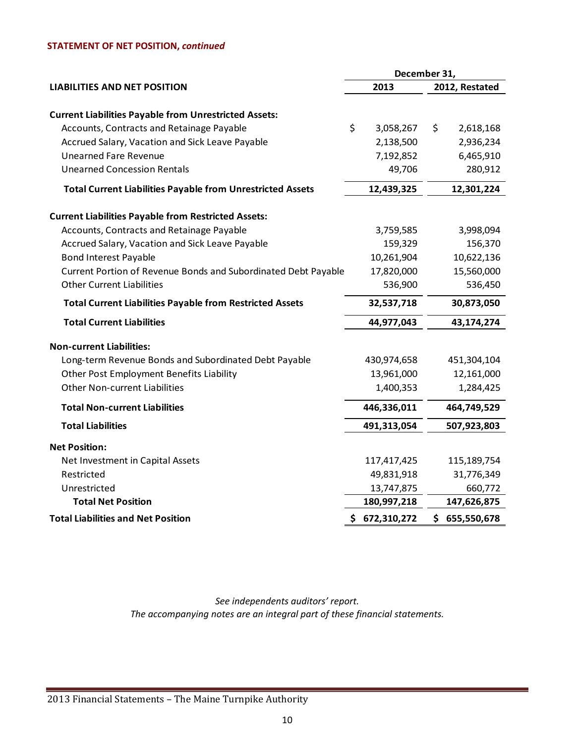# **STATEMENT OF NET POSITION,** *continued*

|                                                                                 | December 31,        |                |                      |  |  |
|---------------------------------------------------------------------------------|---------------------|----------------|----------------------|--|--|
| <b>LIABILITIES AND NET POSITION</b>                                             | 2013                | 2012, Restated |                      |  |  |
|                                                                                 |                     |                |                      |  |  |
| <b>Current Liabilities Payable from Unrestricted Assets:</b>                    | \$                  |                |                      |  |  |
| Accounts, Contracts and Retainage Payable                                       | 3,058,267           | \$             | 2,618,168            |  |  |
| Accrued Salary, Vacation and Sick Leave Payable<br><b>Unearned Fare Revenue</b> | 2,138,500           |                | 2,936,234            |  |  |
| <b>Unearned Concession Rentals</b>                                              | 7,192,852<br>49,706 |                | 6,465,910<br>280,912 |  |  |
|                                                                                 |                     |                |                      |  |  |
| <b>Total Current Liabilities Payable from Unrestricted Assets</b>               | 12,439,325          |                | 12,301,224           |  |  |
| <b>Current Liabilities Payable from Restricted Assets:</b>                      |                     |                |                      |  |  |
| Accounts, Contracts and Retainage Payable                                       | 3,759,585           |                | 3,998,094            |  |  |
| Accrued Salary, Vacation and Sick Leave Payable                                 | 159,329             |                | 156,370              |  |  |
| <b>Bond Interest Payable</b>                                                    | 10,261,904          |                | 10,622,136           |  |  |
| Current Portion of Revenue Bonds and Subordinated Debt Payable                  | 17,820,000          |                | 15,560,000           |  |  |
| <b>Other Current Liabilities</b>                                                | 536,900             | 536,450        |                      |  |  |
| <b>Total Current Liabilities Payable from Restricted Assets</b>                 | 32,537,718          |                | 30,873,050           |  |  |
| <b>Total Current Liabilities</b>                                                | 44,977,043          |                | 43,174,274           |  |  |
| <b>Non-current Liabilities:</b>                                                 |                     |                |                      |  |  |
| Long-term Revenue Bonds and Subordinated Debt Payable                           | 430,974,658         |                | 451,304,104          |  |  |
| Other Post Employment Benefits Liability                                        | 13,961,000          |                | 12,161,000           |  |  |
| <b>Other Non-current Liabilities</b>                                            | 1,400,353           |                | 1,284,425            |  |  |
| <b>Total Non-current Liabilities</b>                                            | 446,336,011         |                | 464,749,529          |  |  |
| <b>Total Liabilities</b>                                                        | 491,313,054         |                | 507,923,803          |  |  |
| <b>Net Position:</b>                                                            |                     |                |                      |  |  |
| Net Investment in Capital Assets                                                | 117,417,425         |                | 115,189,754          |  |  |
| Restricted                                                                      | 49,831,918          |                | 31,776,349           |  |  |
| Unrestricted                                                                    | 13,747,875          |                | 660,772              |  |  |
| <b>Total Net Position</b>                                                       | 180,997,218         |                | 147,626,875          |  |  |
| <b>Total Liabilities and Net Position</b>                                       | \$672,310,272       |                | \$655,550,678        |  |  |

*See independents auditors' report. The accompanying notes are an integral part of these financial statements.*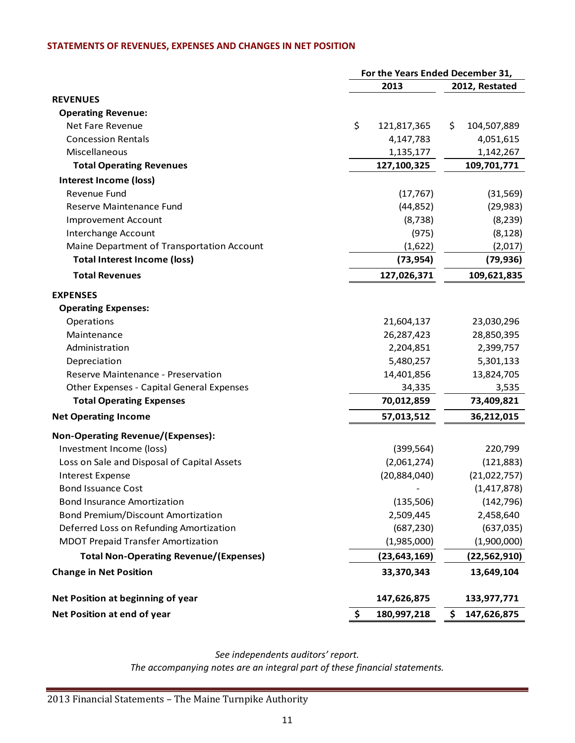# **STATEMENTS OF REVENUES, EXPENSES AND CHANGES IN NET POSITION**

|                                                  | For the Years Ended December 31, |                   |  |  |
|--------------------------------------------------|----------------------------------|-------------------|--|--|
|                                                  | 2013                             | 2012, Restated    |  |  |
| <b>REVENUES</b>                                  |                                  |                   |  |  |
| <b>Operating Revenue:</b>                        |                                  |                   |  |  |
| Net Fare Revenue                                 | \$<br>121,817,365                | \$<br>104,507,889 |  |  |
| <b>Concession Rentals</b>                        | 4,147,783                        | 4,051,615         |  |  |
| Miscellaneous                                    | 1,135,177                        | 1,142,267         |  |  |
| <b>Total Operating Revenues</b>                  | 127,100,325                      | 109,701,771       |  |  |
| Interest Income (loss)                           |                                  |                   |  |  |
| Revenue Fund                                     | (17, 767)                        | (31, 569)         |  |  |
| Reserve Maintenance Fund                         | (44, 852)                        | (29, 983)         |  |  |
| <b>Improvement Account</b>                       | (8, 738)                         | (8, 239)          |  |  |
| Interchange Account                              | (975)                            | (8, 128)          |  |  |
| Maine Department of Transportation Account       | (1,622)                          | (2,017)           |  |  |
| <b>Total Interest Income (loss)</b>              | (73, 954)                        | (79, 936)         |  |  |
| <b>Total Revenues</b>                            | 127,026,371                      | 109,621,835       |  |  |
| <b>EXPENSES</b>                                  |                                  |                   |  |  |
| <b>Operating Expenses:</b>                       |                                  |                   |  |  |
| Operations                                       | 21,604,137                       | 23,030,296        |  |  |
| Maintenance                                      | 26,287,423                       | 28,850,395        |  |  |
| Administration                                   | 2,204,851                        | 2,399,757         |  |  |
| Depreciation                                     | 5,480,257                        | 5,301,133         |  |  |
| Reserve Maintenance - Preservation               | 14,401,856                       | 13,824,705        |  |  |
| <b>Other Expenses - Capital General Expenses</b> | 34,335                           | 3,535             |  |  |
| <b>Total Operating Expenses</b>                  | 70,012,859                       | 73,409,821        |  |  |
| <b>Net Operating Income</b>                      | 57,013,512                       | 36,212,015        |  |  |
| <b>Non-Operating Revenue/(Expenses):</b>         |                                  |                   |  |  |
| Investment Income (loss)                         | (399, 564)                       | 220,799           |  |  |
| Loss on Sale and Disposal of Capital Assets      | (2,061,274)                      | (121, 883)        |  |  |
| <b>Interest Expense</b>                          | (20, 884, 040)                   | (21,022,757)      |  |  |
| <b>Bond Issuance Cost</b>                        |                                  | (1, 417, 878)     |  |  |
| <b>Bond Insurance Amortization</b>               | (135,506)                        | (142, 796)        |  |  |
| <b>Bond Premium/Discount Amortization</b>        | 2,509,445                        | 2,458,640         |  |  |
| Deferred Loss on Refunding Amortization          | (687, 230)                       | (637, 035)        |  |  |
| <b>MDOT Prepaid Transfer Amortization</b>        | (1,985,000)                      | (1,900,000)       |  |  |
| <b>Total Non-Operating Revenue/(Expenses)</b>    | (23, 643, 169)                   | (22, 562, 910)    |  |  |
| <b>Change in Net Position</b>                    | 33,370,343                       | 13,649,104        |  |  |
| Net Position at beginning of year                | 147,626,875                      | 133,977,771       |  |  |
| Net Position at end of year                      | \$<br>180,997,218                | \$<br>147,626,875 |  |  |

*See independents auditors' report. The accompanying notes are an integral part of these financial statements.*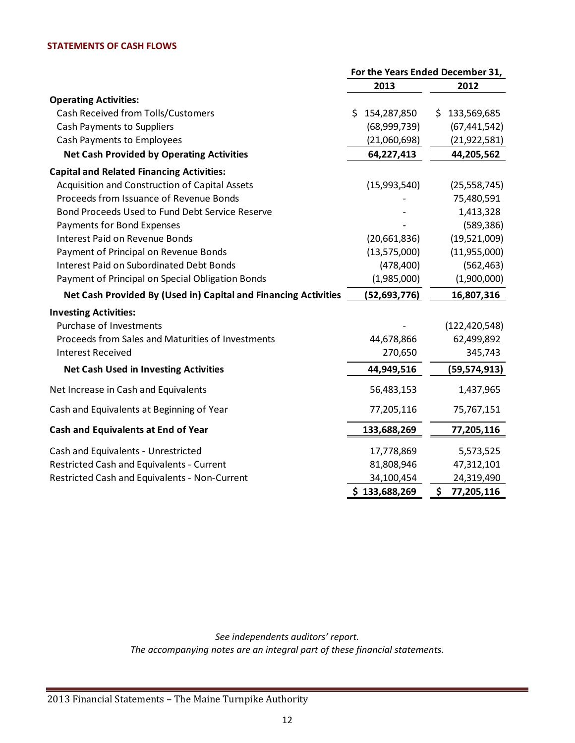#### **STATEMENTS OF CASH FLOWS**

|                                                                 | For the Years Ended December 31, |                    |  |  |
|-----------------------------------------------------------------|----------------------------------|--------------------|--|--|
|                                                                 | 2013                             | 2012               |  |  |
| <b>Operating Activities:</b>                                    |                                  |                    |  |  |
| <b>Cash Received from Tolls/Customers</b>                       | 154,287,850<br>\$                | 133,569,685<br>\$. |  |  |
| <b>Cash Payments to Suppliers</b>                               | (68,999,739)                     | (67, 441, 542)     |  |  |
| <b>Cash Payments to Employees</b>                               | (21,060,698)                     | (21, 922, 581)     |  |  |
| <b>Net Cash Provided by Operating Activities</b>                | 64,227,413                       | 44,205,562         |  |  |
| <b>Capital and Related Financing Activities:</b>                |                                  |                    |  |  |
| Acquisition and Construction of Capital Assets                  | (15,993,540)                     | (25, 558, 745)     |  |  |
| Proceeds from Issuance of Revenue Bonds                         |                                  | 75,480,591         |  |  |
| Bond Proceeds Used to Fund Debt Service Reserve                 |                                  | 1,413,328          |  |  |
| Payments for Bond Expenses                                      |                                  | (589, 386)         |  |  |
| <b>Interest Paid on Revenue Bonds</b>                           | (20,661,836)                     | (19,521,009)       |  |  |
| Payment of Principal on Revenue Bonds                           | (13,575,000)                     | (11,955,000)       |  |  |
| <b>Interest Paid on Subordinated Debt Bonds</b>                 | (478, 400)                       | (562, 463)         |  |  |
| Payment of Principal on Special Obligation Bonds                | (1,985,000)                      | (1,900,000)        |  |  |
| Net Cash Provided By (Used in) Capital and Financing Activities | (52, 693, 776)                   | 16,807,316         |  |  |
| <b>Investing Activities:</b>                                    |                                  |                    |  |  |
| Purchase of Investments                                         |                                  | (122, 420, 548)    |  |  |
| Proceeds from Sales and Maturities of Investments               | 44,678,866                       | 62,499,892         |  |  |
| <b>Interest Received</b>                                        | 270,650                          | 345,743            |  |  |
| <b>Net Cash Used in Investing Activities</b>                    | 44,949,516                       | (59, 574, 913)     |  |  |
| Net Increase in Cash and Equivalents                            | 56,483,153                       | 1,437,965          |  |  |
| Cash and Equivalents at Beginning of Year                       | 77,205,116                       | 75,767,151         |  |  |
| Cash and Equivalents at End of Year                             | 133,688,269                      | 77,205,116         |  |  |
| Cash and Equivalents - Unrestricted                             | 17,778,869                       | 5,573,525          |  |  |
| Restricted Cash and Equivalents - Current                       | 81,808,946                       | 47,312,101         |  |  |
| Restricted Cash and Equivalents - Non-Current                   | 34,100,454                       | 24,319,490         |  |  |
|                                                                 | \$133,688,269                    | \$<br>77,205,116   |  |  |

*See independents auditors' report. The accompanying notes are an integral part of these financial statements.*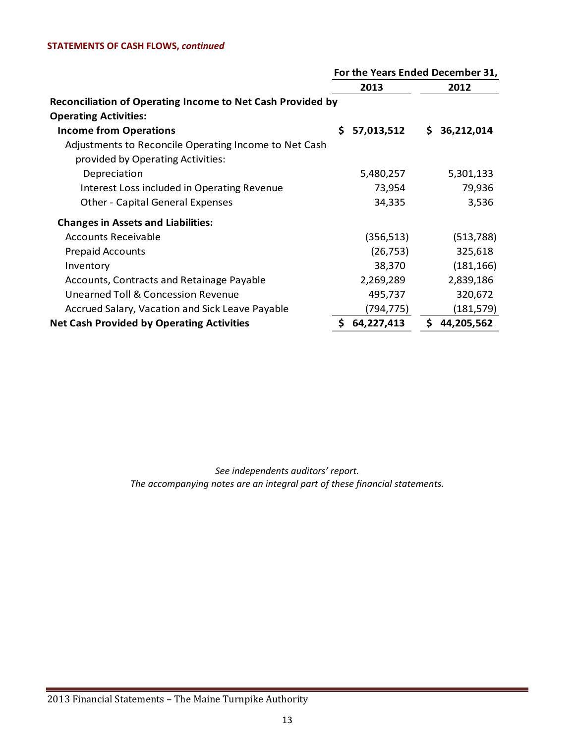#### **STATEMENTS OF CASH FLOWS,** *continued*

|                                                                   | For the Years Ended December 31, |            |    |              |
|-------------------------------------------------------------------|----------------------------------|------------|----|--------------|
|                                                                   |                                  | 2013       |    | 2012         |
| <b>Reconciliation of Operating Income to Net Cash Provided by</b> |                                  |            |    |              |
| <b>Operating Activities:</b>                                      |                                  |            |    |              |
| <b>Income from Operations</b>                                     | Ś.                               | 57,013,512 |    | \$36,212,014 |
| Adjustments to Reconcile Operating Income to Net Cash             |                                  |            |    |              |
| provided by Operating Activities:                                 |                                  |            |    |              |
| Depreciation                                                      |                                  | 5,480,257  |    | 5,301,133    |
| Interest Loss included in Operating Revenue                       |                                  | 73,954     |    | 79,936       |
| <b>Other - Capital General Expenses</b>                           |                                  | 34,335     |    | 3,536        |
| <b>Changes in Assets and Liabilities:</b>                         |                                  |            |    |              |
| <b>Accounts Receivable</b>                                        |                                  | (356, 513) |    | (513, 788)   |
| <b>Prepaid Accounts</b>                                           |                                  | (26, 753)  |    | 325,618      |
| Inventory                                                         |                                  | 38,370     |    | (181, 166)   |
| Accounts, Contracts and Retainage Payable                         |                                  | 2,269,289  |    | 2,839,186    |
| Unearned Toll & Concession Revenue                                |                                  | 495,737    |    | 320,672      |
| Accrued Salary, Vacation and Sick Leave Payable                   |                                  | (794,775)  |    | (181, 579)   |
| <b>Net Cash Provided by Operating Activities</b>                  | \$                               | 64,227,413 | \$ | 44,205,562   |

*See independents auditors' report. The accompanying notes are an integral part of these financial statements.*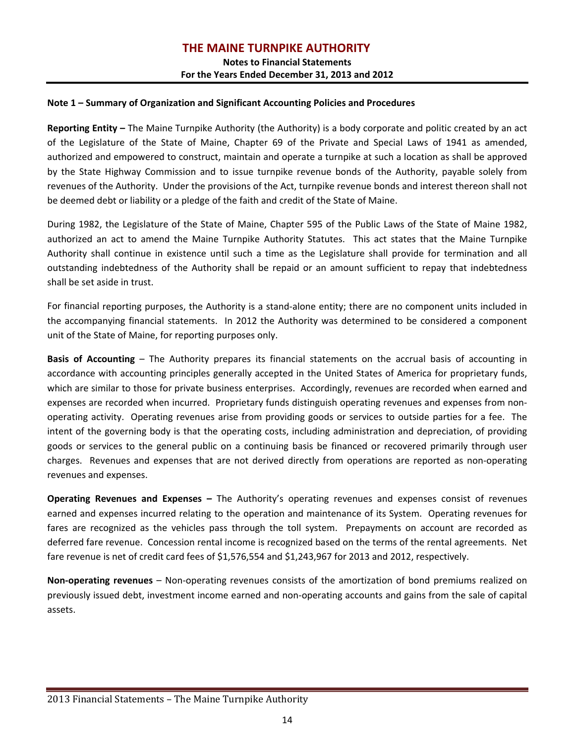# **THE MAINE TURNPIKE AUTHORITY**

# **Notes to Financial Statements For the Years Ended December 31, 2013 and 2012**

#### **Note 1 – Summary of Organization and Significant Accounting Policies and Procedures**

**Reporting Entity –** The Maine Turnpike Authority (the Authority) is a body corporate and politic created by an act of the Legislature of the State of Maine, Chapter 69 of the Private and Special Laws of 1941 as amended, authorized and empowered to construct, maintain and operate a turnpike at such a location as shall be approved by the State Highway Commission and to issue turnpike revenue bonds of the Authority, payable solely from revenues of the Authority. Under the provisions of the Act, turnpike revenue bonds and interest thereon shall not be deemed debt or liability or a pledge of the faith and credit of the State of Maine.

During 1982, the Legislature of the State of Maine, Chapter 595 of the Public Laws of the State of Maine 1982, authorized an act to amend the Maine Turnpike Authority Statutes. This act states that the Maine Turnpike Authority shall continue in existence until such a time as the Legislature shall provide for termination and all outstanding indebtedness of the Authority shall be repaid or an amount sufficient to repay that indebtedness shall be set aside in trust.

For financial reporting purposes, the Authority is a stand‐alone entity; there are no component units included in the accompanying financial statements. In 2012 the Authority was determined to be considered a component unit of the State of Maine, for reporting purposes only.

**Basis of Accounting** – The Authority prepares its financial statements on the accrual basis of accounting in accordance with accounting principles generally accepted in the United States of America for proprietary funds, which are similar to those for private business enterprises. Accordingly, revenues are recorded when earned and expenses are recorded when incurred. Proprietary funds distinguish operating revenues and expenses from non‐ operating activity. Operating revenues arise from providing goods or services to outside parties for a fee. The intent of the governing body is that the operating costs, including administration and depreciation, of providing goods or services to the general public on a continuing basis be financed or recovered primarily through user charges. Revenues and expenses that are not derived directly from operations are reported as non‐operating revenues and expenses.

**Operating Revenues and Expenses –** The Authority's operating revenues and expenses consist of revenues earned and expenses incurred relating to the operation and maintenance of its System. Operating revenues for fares are recognized as the vehicles pass through the toll system. Prepayments on account are recorded as deferred fare revenue. Concession rental income is recognized based on the terms of the rental agreements. Net fare revenue is net of credit card fees of \$1,576,554 and \$1,243,967 for 2013 and 2012, respectively.

**Non‐operating revenues** – Non‐operating revenues consists of the amortization of bond premiums realized on previously issued debt, investment income earned and non‐operating accounts and gains from the sale of capital assets.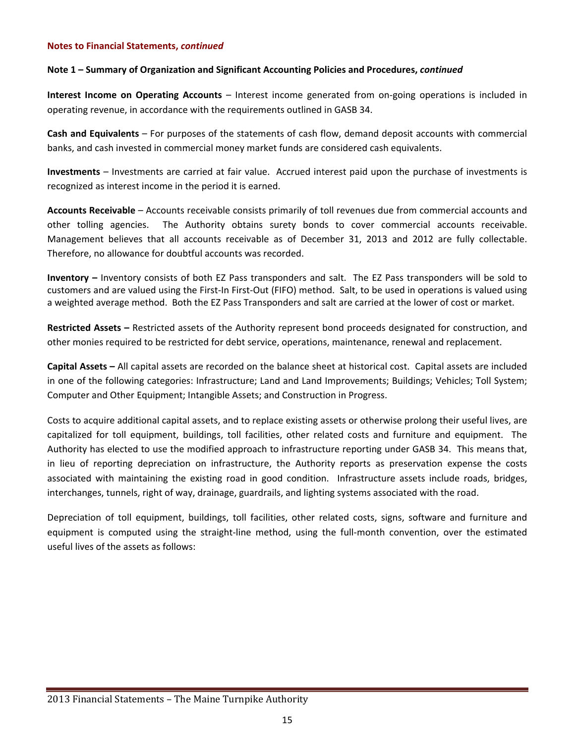# **Note 1 – Summary of Organization and Significant Accounting Policies and Procedures,** *continued*

**Interest Income on Operating Accounts** – Interest income generated from on‐going operations is included in operating revenue, in accordance with the requirements outlined in GASB 34.

**Cash and Equivalents** – For purposes of the statements of cash flow, demand deposit accounts with commercial banks, and cash invested in commercial money market funds are considered cash equivalents.

**Investments** – Investments are carried at fair value. Accrued interest paid upon the purchase of investments is recognized as interest income in the period it is earned.

**Accounts Receivable** – Accounts receivable consists primarily of toll revenues due from commercial accounts and other tolling agencies. The Authority obtains surety bonds to cover commercial accounts receivable. Management believes that all accounts receivable as of December 31, 2013 and 2012 are fully collectable. Therefore, no allowance for doubtful accounts was recorded.

**Inventory –** Inventory consists of both EZ Pass transponders and salt. The EZ Pass transponders will be sold to customers and are valued using the First‐In First‐Out (FIFO) method. Salt, to be used in operations is valued using a weighted average method. Both the EZ Pass Transponders and salt are carried at the lower of cost or market.

**Restricted Assets –** Restricted assets of the Authority represent bond proceeds designated for construction, and other monies required to be restricted for debt service, operations, maintenance, renewal and replacement.

**Capital Assets –** All capital assets are recorded on the balance sheet at historical cost. Capital assets are included in one of the following categories: Infrastructure; Land and Land Improvements; Buildings; Vehicles; Toll System; Computer and Other Equipment; Intangible Assets; and Construction in Progress.

Costs to acquire additional capital assets, and to replace existing assets or otherwise prolong their useful lives, are capitalized for toll equipment, buildings, toll facilities, other related costs and furniture and equipment. The Authority has elected to use the modified approach to infrastructure reporting under GASB 34. This means that, in lieu of reporting depreciation on infrastructure, the Authority reports as preservation expense the costs associated with maintaining the existing road in good condition. Infrastructure assets include roads, bridges, interchanges, tunnels, right of way, drainage, guardrails, and lighting systems associated with the road.

Depreciation of toll equipment, buildings, toll facilities, other related costs, signs, software and furniture and equipment is computed using the straight-line method, using the full-month convention, over the estimated useful lives of the assets as follows: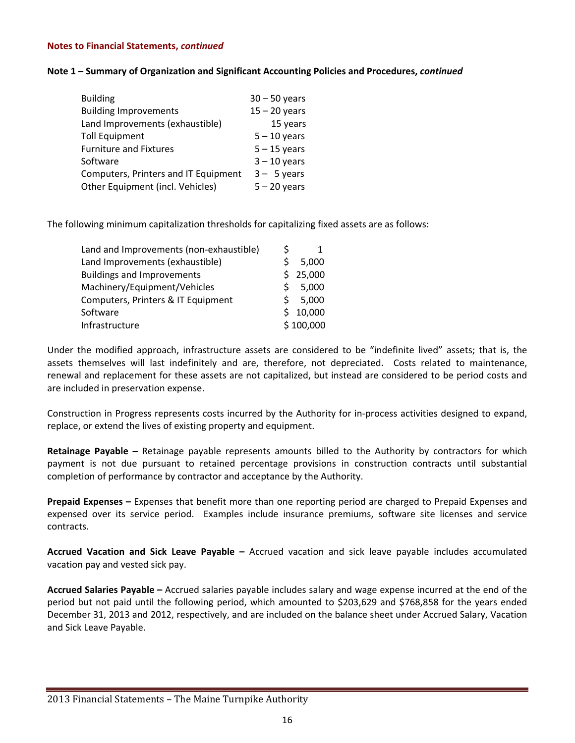#### **Note 1 – Summary of Organization and Significant Accounting Policies and Procedures,** *continued*

| <b>Building</b>                      | $30 - 50$ years |
|--------------------------------------|-----------------|
| <b>Building Improvements</b>         | $15 - 20$ years |
| Land Improvements (exhaustible)      | 15 years        |
| Toll Equipment                       | $5 - 10$ years  |
| <b>Furniture and Fixtures</b>        | $5 - 15$ years  |
| Software                             | $3 - 10$ years  |
| Computers, Printers and IT Equipment | $3 - 5$ years   |
| Other Equipment (incl. Vehicles)     | $5 - 20$ years  |

The following minimum capitalization thresholds for capitalizing fixed assets are as follows:

| Land and Improvements (non-exhaustible) |             |           |
|-----------------------------------------|-------------|-----------|
| Land Improvements (exhaustible)         | S           | 5,000     |
| <b>Buildings and Improvements</b>       |             | \$25,000  |
| Machinery/Equipment/Vehicles            | S           | 5,000     |
| Computers, Printers & IT Equipment      | S.          | 5,000     |
| Software                                | $\varsigma$ | 10,000    |
| Infrastructure                          |             | \$100,000 |
|                                         |             |           |

Under the modified approach, infrastructure assets are considered to be "indefinite lived" assets; that is, the assets themselves will last indefinitely and are, therefore, not depreciated. Costs related to maintenance, renewal and replacement for these assets are not capitalized, but instead are considered to be period costs and are included in preservation expense.

Construction in Progress represents costs incurred by the Authority for in‐process activities designed to expand, replace, or extend the lives of existing property and equipment.

**Retainage Payable –** Retainage payable represents amounts billed to the Authority by contractors for which payment is not due pursuant to retained percentage provisions in construction contracts until substantial completion of performance by contractor and acceptance by the Authority.

**Prepaid Expenses –** Expenses that benefit more than one reporting period are charged to Prepaid Expenses and expensed over its service period. Examples include insurance premiums, software site licenses and service contracts.

**Accrued Vacation and Sick Leave Payable –** Accrued vacation and sick leave payable includes accumulated vacation pay and vested sick pay.

**Accrued Salaries Payable –** Accrued salaries payable includes salary and wage expense incurred at the end of the period but not paid until the following period, which amounted to \$203,629 and \$768,858 for the years ended December 31, 2013 and 2012, respectively, and are included on the balance sheet under Accrued Salary, Vacation and Sick Leave Payable.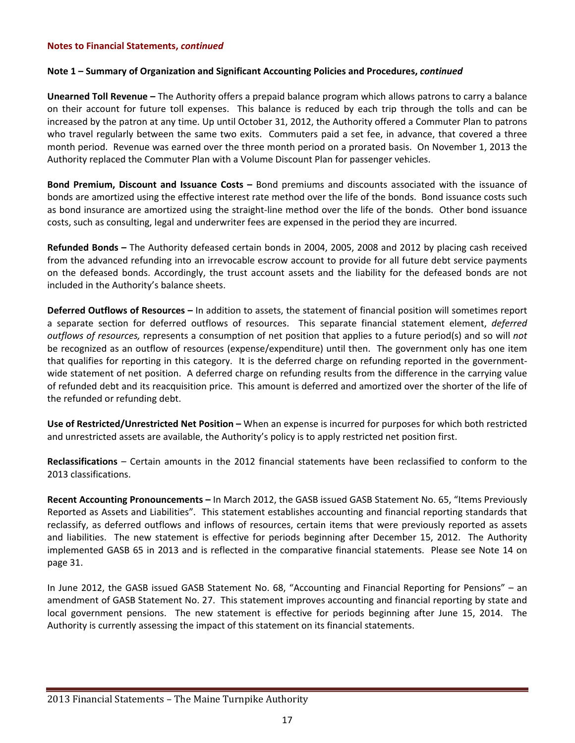# **Note 1 – Summary of Organization and Significant Accounting Policies and Procedures,** *continued*

**Unearned Toll Revenue –** The Authority offers a prepaid balance program which allows patrons to carry a balance on their account for future toll expenses. This balance is reduced by each trip through the tolls and can be increased by the patron at any time. Up until October 31, 2012, the Authority offered a Commuter Plan to patrons who travel regularly between the same two exits. Commuters paid a set fee, in advance, that covered a three month period. Revenue was earned over the three month period on a prorated basis. On November 1, 2013 the Authority replaced the Commuter Plan with a Volume Discount Plan for passenger vehicles.

**Bond Premium, Discount and Issuance Costs –** Bond premiums and discounts associated with the issuance of bonds are amortized using the effective interest rate method over the life of the bonds. Bond issuance costs such as bond insurance are amortized using the straight‐line method over the life of the bonds. Other bond issuance costs, such as consulting, legal and underwriter fees are expensed in the period they are incurred.

**Refunded Bonds –** The Authority defeased certain bonds in 2004, 2005, 2008 and 2012 by placing cash received from the advanced refunding into an irrevocable escrow account to provide for all future debt service payments on the defeased bonds. Accordingly, the trust account assets and the liability for the defeased bonds are not included in the Authority's balance sheets.

**Deferred Outflows of Resources –** In addition to assets, the statement of financial position will sometimes report a separate section for deferred outflows of resources. This separate financial statement element, *deferred outflows of resources,* represents a consumption of net position that applies to a future period(s) and so will *not* be recognized as an outflow of resources (expense/expenditure) until then. The government only has one item that qualifies for reporting in this category. It is the deferred charge on refunding reported in the government‐ wide statement of net position. A deferred charge on refunding results from the difference in the carrying value of refunded debt and its reacquisition price. This amount is deferred and amortized over the shorter of the life of the refunded or refunding debt.

**Use of Restricted/Unrestricted Net Position –** When an expense is incurred for purposes for which both restricted and unrestricted assets are available, the Authority's policy is to apply restricted net position first.

**Reclassifications** – Certain amounts in the 2012 financial statements have been reclassified to conform to the 2013 classifications.

**Recent Accounting Pronouncements –** In March 2012, the GASB issued GASB Statement No. 65, "Items Previously Reported as Assets and Liabilities". This statement establishes accounting and financial reporting standards that reclassify, as deferred outflows and inflows of resources, certain items that were previously reported as assets and liabilities. The new statement is effective for periods beginning after December 15, 2012. The Authority implemented GASB 65 in 2013 and is reflected in the comparative financial statements. Please see Note 14 on page 31.

In June 2012, the GASB issued GASB Statement No. 68, "Accounting and Financial Reporting for Pensions" – an amendment of GASB Statement No. 27. This statement improves accounting and financial reporting by state and local government pensions. The new statement is effective for periods beginning after June 15, 2014. The Authority is currently assessing the impact of this statement on its financial statements.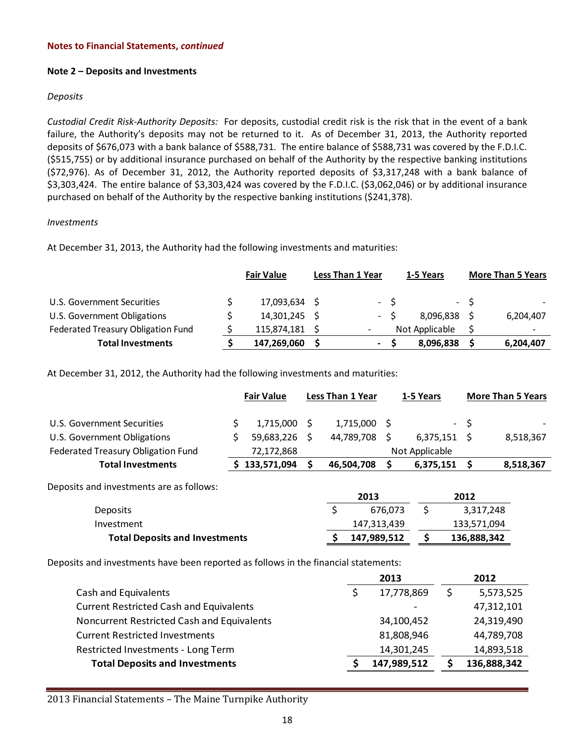#### **Note 2 – Deposits and Investments**

#### *Deposits*

*Custodial Credit Risk‐Authority Deposits:* For deposits, custodial credit risk is the risk that in the event of a bank failure, the Authority's deposits may not be returned to it. As of December 31, 2013, the Authority reported deposits of \$676,073 with a bank balance of \$588,731. The entire balance of \$588,731 was covered by the F.D.I.C. (\$515,755) or by additional insurance purchased on behalf of the Authority by the respective banking institutions (\$72,976). As of December 31, 2012, the Authority reported deposits of \$3,317,248 with a bank balance of \$3,303,424. The entire balance of \$3,303,424 was covered by the F.D.I.C. (\$3,062,046) or by additional insurance purchased on behalf of the Authority by the respective banking institutions (\$241,378).

#### *Investments*

At December 31, 2013, the Authority had the following investments and maturities:

|                                    | <b>Fair Value</b> | <b>Less Than 1 Year</b>  |     | 1-5 Years      |      | <b>More Than 5 Years</b> |
|------------------------------------|-------------------|--------------------------|-----|----------------|------|--------------------------|
| U.S. Government Securities         | 17,093,634 \$     |                          | - S |                | $-S$ |                          |
| U.S. Government Obligations        | 14,301,245 \$     | $\sim$ $-$               |     | 8,096,838      |      | 6,204,407                |
| Federated Treasury Obligation Fund | 115,874,181 \$    |                          |     | Not Applicable |      | $\overline{\phantom{0}}$ |
| <b>Total Investments</b>           | 147,269,060       | $\overline{\phantom{a}}$ |     | 8,096,838      |      | 6,204,407                |

At December 31, 2012, the Authority had the following investments and maturities:

| <b>Fair Value</b> |             |                                       | <b>Less Than 1 Year</b>         |  | 1-5 Years                                    |                | <b>More Than 5 Years</b>                                                  |  |
|-------------------|-------------|---------------------------------------|---------------------------------|--|----------------------------------------------|----------------|---------------------------------------------------------------------------|--|
| \$                |             |                                       | 1,715,000                       |  |                                              |                |                                                                           |  |
| \$                |             |                                       | 44,789,708                      |  |                                              |                | 8,518,367                                                                 |  |
|                   | 72,172,868  |                                       |                                 |  |                                              |                |                                                                           |  |
|                   | 133,571,094 |                                       | 46,504,708                      |  | 6,375,151                                    |                | 8,518,367                                                                 |  |
|                   |             |                                       | 2013                            |  |                                              |                |                                                                           |  |
|                   |             |                                       | \$                              |  | \$                                           |                |                                                                           |  |
|                   |             |                                       |                                 |  |                                              |                |                                                                           |  |
|                   |             |                                       |                                 |  | Ś                                            |                |                                                                           |  |
|                   |             | <b>Total Deposits and Investments</b> | $1,715,000$ \$<br>59,683,226 \$ |  | - S<br>676,073<br>147,313,439<br>147,989,512 | Not Applicable | - \$<br>$6,375,151$ \$<br>2012<br>3,317,248<br>133,571,094<br>136,888,342 |  |

Deposits and investments have been reported as follows in the financial statements:

|                                                | 2013        | 2012        |
|------------------------------------------------|-------------|-------------|
| Cash and Equivalents                           | 17,778,869  | 5,573,525   |
| <b>Current Restricted Cash and Equivalents</b> |             | 47,312,101  |
| Noncurrent Restricted Cash and Equivalents     | 34,100,452  | 24,319,490  |
| <b>Current Restricted Investments</b>          | 81,808,946  | 44,789,708  |
| Restricted Investments - Long Term             | 14,301,245  | 14,893,518  |
| <b>Total Deposits and Investments</b>          | 147,989,512 | 136,888,342 |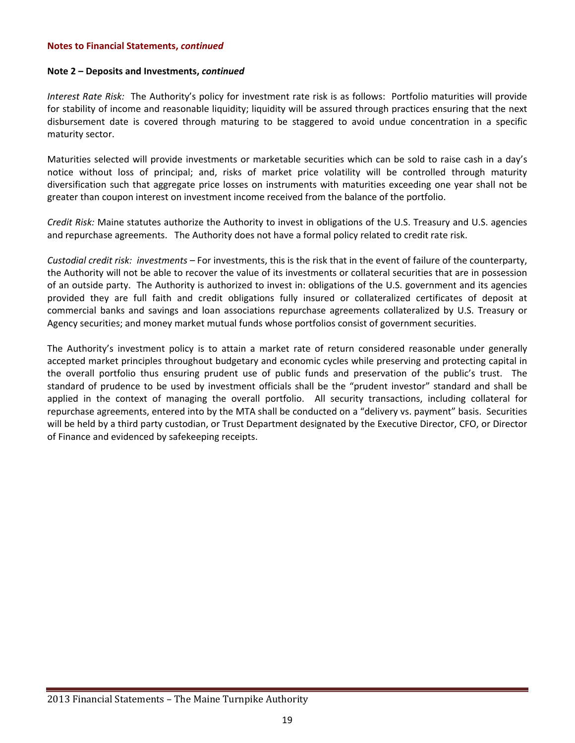#### **Note 2 – Deposits and Investments,** *continued*

*Interest Rate Risk:* The Authority's policy for investment rate risk is as follows: Portfolio maturities will provide for stability of income and reasonable liquidity; liquidity will be assured through practices ensuring that the next disbursement date is covered through maturing to be staggered to avoid undue concentration in a specific maturity sector.

Maturities selected will provide investments or marketable securities which can be sold to raise cash in a day's notice without loss of principal; and, risks of market price volatility will be controlled through maturity diversification such that aggregate price losses on instruments with maturities exceeding one year shall not be greater than coupon interest on investment income received from the balance of the portfolio.

*Credit Risk:* Maine statutes authorize the Authority to invest in obligations of the U.S. Treasury and U.S. agencies and repurchase agreements. The Authority does not have a formal policy related to credit rate risk.

*Custodial credit risk: investments –* For investments, this is the risk that in the event of failure of the counterparty, the Authority will not be able to recover the value of its investments or collateral securities that are in possession of an outside party. The Authority is authorized to invest in: obligations of the U.S. government and its agencies provided they are full faith and credit obligations fully insured or collateralized certificates of deposit at commercial banks and savings and loan associations repurchase agreements collateralized by U.S. Treasury or Agency securities; and money market mutual funds whose portfolios consist of government securities.

The Authority's investment policy is to attain a market rate of return considered reasonable under generally accepted market principles throughout budgetary and economic cycles while preserving and protecting capital in the overall portfolio thus ensuring prudent use of public funds and preservation of the public's trust. The standard of prudence to be used by investment officials shall be the "prudent investor" standard and shall be applied in the context of managing the overall portfolio. All security transactions, including collateral for repurchase agreements, entered into by the MTA shall be conducted on a "delivery vs. payment" basis. Securities will be held by a third party custodian, or Trust Department designated by the Executive Director, CFO, or Director of Finance and evidenced by safekeeping receipts.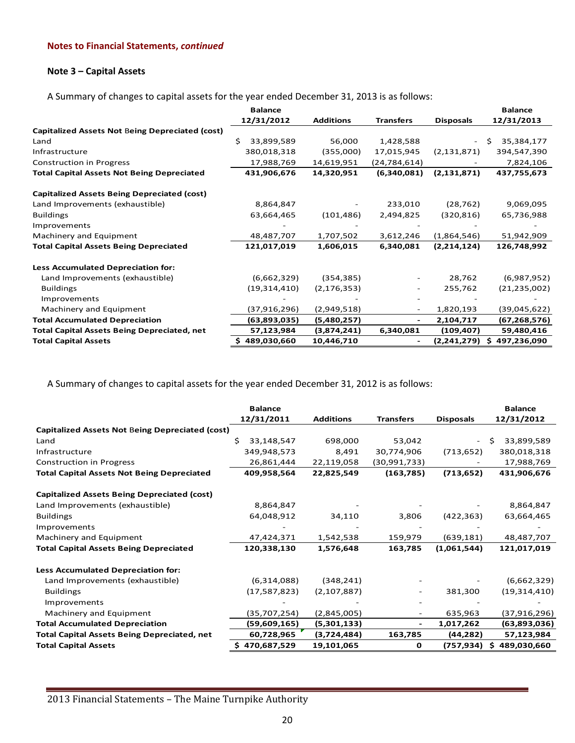### **Note 3 – Capital Assets**

A Summary of changes to capital assets for the year ended December 31, 2013 is as follows:

|                                                    | <b>Balance</b>  |                  |                  |                  | <b>Balance</b>   |
|----------------------------------------------------|-----------------|------------------|------------------|------------------|------------------|
|                                                    | 12/31/2012      | <b>Additions</b> | <b>Transfers</b> | <b>Disposals</b> | 12/31/2013       |
| Capitalized Assets Not Being Depreciated (cost)    |                 |                  |                  |                  |                  |
| Land                                               | Ś<br>33,899,589 | 56,000           | 1,428,588        |                  | 35,384,177       |
| Infrastructure                                     | 380,018,318     | (355,000)        | 17,015,945       | (2, 131, 871)    | 394,547,390      |
| <b>Construction in Progress</b>                    | 17,988,769      | 14,619,951       | (24, 784, 614)   |                  | 7,824,106        |
| <b>Total Capital Assets Not Being Depreciated</b>  | 431,906,676     | 14,320,951       | (6,340,081)      | (2, 131, 871)    | 437,755,673      |
| <b>Capitalized Assets Being Depreciated (cost)</b> |                 |                  |                  |                  |                  |
| Land Improvements (exhaustible)                    | 8,864,847       |                  | 233,010          | (28, 762)        | 9,069,095        |
| <b>Buildings</b>                                   | 63,664,465      | (101, 486)       | 2,494,825        | (320, 816)       | 65,736,988       |
| Improvements                                       |                 |                  |                  |                  |                  |
| Machinery and Equipment                            | 48,487,707      | 1,707,502        | 3,612,246        | (1,864,546)      | 51,942,909       |
| <b>Total Capital Assets Being Depreciated</b>      | 121,017,019     | 1,606,015        | 6,340,081        | (2,214,124)      | 126,748,992      |
| <b>Less Accumulated Depreciation for:</b>          |                 |                  |                  |                  |                  |
| Land Improvements (exhaustible)                    | (6,662,329)     | (354, 385)       | -                | 28,762           | (6,987,952)      |
| <b>Buildings</b>                                   | (19,314,410)    | (2, 176, 353)    | -                | 255,762          | (21, 235, 002)   |
| Improvements                                       |                 |                  |                  |                  |                  |
| Machinery and Equipment                            | (37, 916, 296)  | (2,949,518)      |                  | 1,820,193        | (39,045,622)     |
| <b>Total Accumulated Depreciation</b>              | (63,893,035)    | (5,480,257)      | -                | 2,104,717        | (67, 268, 576)   |
| <b>Total Capital Assets Being Depreciated, net</b> | 57,123,984      | (3,874,241)      | 6,340,081        | (109, 407)       | 59,480,416       |
| <b>Total Capital Assets</b>                        | \$489,030,660   | 10,446,710       |                  | (2,241,279)      | 497,236,090<br>S |

A Summary of changes to capital assets for the year ended December 31, 2012 is as follows:

|                                                        | <b>Balance</b>   |                  |                  |                  | <b>Balance</b>   |
|--------------------------------------------------------|------------------|------------------|------------------|------------------|------------------|
|                                                        | 12/31/2011       | <b>Additions</b> | <b>Transfers</b> | <b>Disposals</b> | 12/31/2012       |
| <b>Capitalized Assets Not Being Depreciated (cost)</b> |                  |                  |                  |                  |                  |
| Land                                                   | 33,148,547<br>Ś. | 698,000          | 53,042           |                  | 33,899,589       |
| Infrastructure                                         | 349,948,573      | 8,491            | 30,774,906       | (713, 652)       | 380,018,318      |
| <b>Construction in Progress</b>                        | 26,861,444       | 22,119,058       | (30,991,733)     |                  | 17,988,769       |
| <b>Total Capital Assets Not Being Depreciated</b>      | 409,958,564      | 22,825,549       | (163, 785)       | (713, 652)       | 431,906,676      |
| <b>Capitalized Assets Being Depreciated (cost)</b>     |                  |                  |                  |                  |                  |
| Land Improvements (exhaustible)                        | 8,864,847        |                  |                  |                  | 8,864,847        |
| <b>Buildings</b>                                       | 64,048,912       | 34,110           | 3,806            | (422, 363)       | 63,664,465       |
| Improvements                                           |                  |                  |                  |                  |                  |
| Machinery and Equipment                                | 47,424,371       | 1,542,538        | 159,979          | (639, 181)       | 48,487,707       |
| <b>Total Capital Assets Being Depreciated</b>          | 120,338,130      | 1,576,648        | 163,785          | (1,061,544)      | 121,017,019      |
| Less Accumulated Depreciation for:                     |                  |                  |                  |                  |                  |
| Land Improvements (exhaustible)                        | (6,314,088)      | (348, 241)       |                  |                  | (6,662,329)      |
| <b>Buildings</b>                                       | (17,587,823)     | (2, 107, 887)    |                  | 381,300          | (19, 314, 410)   |
| Improvements                                           |                  |                  |                  |                  |                  |
| Machinery and Equipment                                | (35,707,254)     | (2,845,005)      |                  | 635,963          | (37,916,296)     |
| <b>Total Accumulated Depreciation</b>                  | (59,609,165)     | (5,301,133)      |                  | 1,017,262        | (63,893,036)     |
| <b>Total Capital Assets Being Depreciated, net</b>     | 60,728,965       | (3,724,484)      | 163,785          | (44, 282)        | 57,123,984       |
| <b>Total Capital Assets</b>                            | \$470,687,529    | 19,101,065       | 0                | (757,934)        | Ŝ<br>489,030,660 |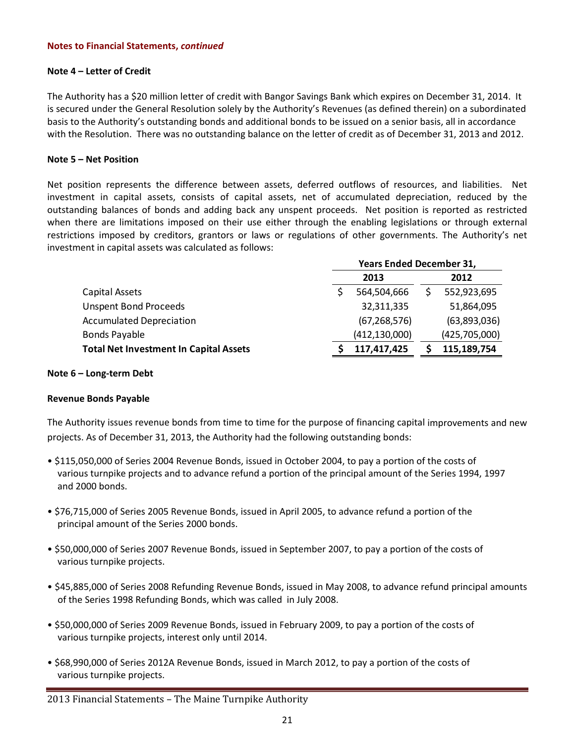#### **Note 4 – Letter of Credit**

The Authority has a \$20 million letter of credit with Bangor Savings Bank which expires on December 31, 2014. It is secured under the General Resolution solely by the Authority's Revenues (as defined therein) on a subordinated basis to the Authority's outstanding bonds and additional bonds to be issued on a senior basis, all in accordance with the Resolution. There was no outstanding balance on the letter of credit as of December 31, 2013 and 2012.

#### **Note 5 – Net Position**

Net position represents the difference between assets, deferred outflows of resources, and liabilities. Net investment in capital assets, consists of capital assets, net of accumulated depreciation, reduced by the outstanding balances of bonds and adding back any unspent proceeds. Net position is reported as restricted when there are limitations imposed on their use either through the enabling legislations or through external restrictions imposed by creditors, grantors or laws or regulations of other governments. The Authority's net investment in capital assets was calculated as follows:

|                                               | <b>Years Ended December 31,</b> |                 |  |               |  |
|-----------------------------------------------|---------------------------------|-----------------|--|---------------|--|
|                                               | 2013                            |                 |  | 2012          |  |
| Capital Assets                                |                                 | 564,504,666     |  | 552,923,695   |  |
| <b>Unspent Bond Proceeds</b>                  |                                 | 32,311,335      |  | 51,864,095    |  |
| <b>Accumulated Depreciation</b>               |                                 | (67, 268, 576)  |  | (63,893,036)  |  |
| <b>Bonds Payable</b>                          |                                 | (412, 130, 000) |  | (425,705,000) |  |
| <b>Total Net Investment In Capital Assets</b> |                                 | 117,417,425     |  | 115,189,754   |  |

#### **Note 6 – Long‐term Debt**

# **Revenue Bonds Payable**

The Authority issues revenue bonds from time to time for the purpose of financing capital improvements and new projects. As of December 31, 2013, the Authority had the following outstanding bonds:

- \$115,050,000 of Series 2004 Revenue Bonds, issued in October 2004, to pay a portion of the costs of various turnpike projects and to advance refund a portion of the principal amount of the Series 1994, 1997 and 2000 bonds.
- \$76,715,000 of Series 2005 Revenue Bonds, issued in April 2005, to advance refund a portion of the principal amount of the Series 2000 bonds.
- \$50,000,000 of Series 2007 Revenue Bonds, issued in September 2007, to pay a portion of the costs of various turnpike projects.
- \$45,885,000 of Series 2008 Refunding Revenue Bonds, issued in May 2008, to advance refund principal amounts of the Series 1998 Refunding Bonds, which was called in July 2008.
- \$50,000,000 of Series 2009 Revenue Bonds, issued in February 2009, to pay a portion of the costs of various turnpike projects, interest only until 2014.
- \$68,990,000 of Series 2012A Revenue Bonds, issued in March 2012, to pay a portion of the costs of various turnpike projects.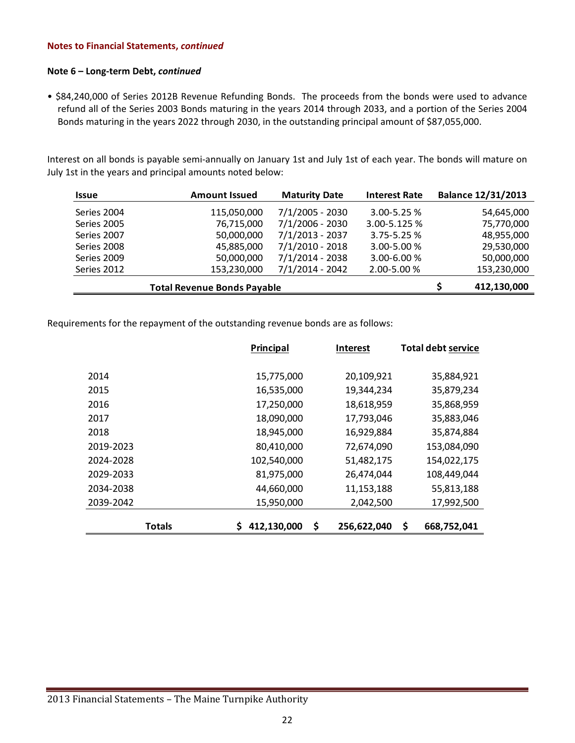#### **Note 6 – Long‐term Debt,** *continued*

• \$84,240,000 of Series 2012B Revenue Refunding Bonds. The proceeds from the bonds were used to advance refund all of the Series 2003 Bonds maturing in the years 2014 through 2033, and a portion of the Series 2004 Bonds maturing in the years 2022 through 2030, in the outstanding principal amount of \$87,055,000.

Interest on all bonds is payable semi‐annually on January 1st and July 1st of each year. The bonds will mature on July 1st in the years and principal amounts noted below:

| <b>Issue</b> | <b>Amount Issued</b> | <b>Maturity Date</b> | <b>Interest Rate</b> | <b>Balance 12/31/2013</b> |
|--------------|----------------------|----------------------|----------------------|---------------------------|
| Series 2004  | 115,050,000          | $7/1/2005 - 2030$    | $3.00 - 5.25 %$      | 54,645,000                |
| Series 2005  | 76,715,000           | $7/1/2006 - 2030$    | 3.00-5.125 %         | 75,770,000                |
| Series 2007  | 50,000,000           | $7/1/2013 - 2037$    | $3.75 - 5.25 %$      | 48,955,000                |
| Series 2008  | 45,885,000           | $7/1/2010 - 2018$    | 3.00-5.00 %          | 29,530,000                |
| Series 2009  | 50,000,000           | $7/1/2014 - 2038$    | 3.00-6.00 %          | 50,000,000                |
| Series 2012  | 153,230,000          | $7/1/2014 - 2042$    | 2.00-5.00 %          | 153,230,000               |
|              | 412,130,000          |                      |                      |                           |

Requirements for the repayment of the outstanding revenue bonds are as follows:

|           | <b>Principal</b> | <b>Interest</b>   | Total debt service |
|-----------|------------------|-------------------|--------------------|
|           |                  |                   |                    |
| 2014      | 15,775,000       | 20,109,921        | 35,884,921         |
| 2015      | 16,535,000       | 19,344,234        | 35,879,234         |
| 2016      | 17,250,000       | 18,618,959        | 35,868,959         |
| 2017      | 18,090,000       | 17,793,046        | 35,883,046         |
| 2018      | 18,945,000       | 16,929,884        | 35,874,884         |
| 2019-2023 | 80,410,000       | 72,674,090        | 153,084,090        |
| 2024-2028 | 102,540,000      | 51,482,175        | 154,022,175        |
| 2029-2033 | 81,975,000       | 26,474,044        | 108,449,044        |
| 2034-2038 | 44,660,000       | 11,153,188        | 55,813,188         |
| 2039-2042 | 15,950,000       | 2,042,500         | 17,992,500         |
|           |                  |                   |                    |
| Totals    | 412,130,000      | \$<br>256,622,040 | \$<br>668,752,041  |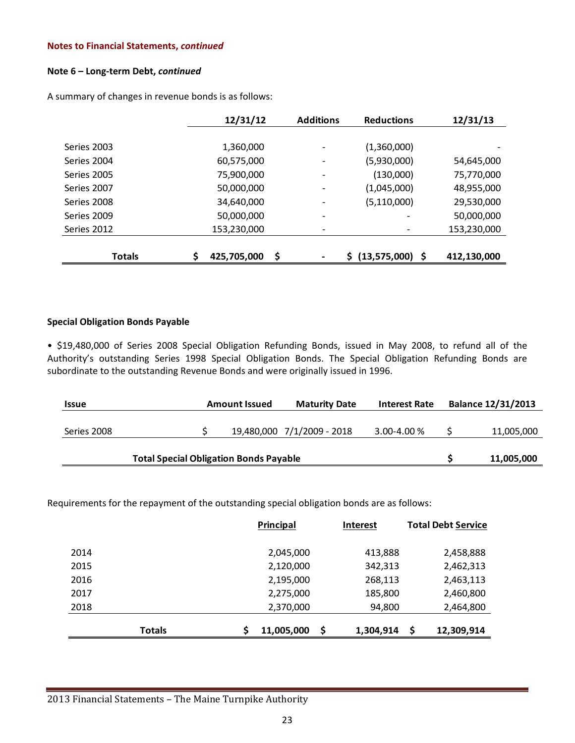#### **Note 6 – Long‐term Debt,** *continued*

A summary of changes in revenue bonds is as follows:

|               | 12/31/12                | <b>Additions</b> | <b>Reductions</b>  | 12/31/13    |
|---------------|-------------------------|------------------|--------------------|-------------|
|               |                         |                  |                    |             |
| Series 2003   | 1,360,000               |                  | (1,360,000)        |             |
| Series 2004   | 60,575,000              |                  | (5,930,000)        | 54,645,000  |
| Series 2005   | 75,900,000              |                  | (130,000)          | 75,770,000  |
| Series 2007   | 50,000,000              | -                | (1,045,000)        | 48,955,000  |
| Series 2008   | 34,640,000              |                  | (5, 110, 000)      | 29,530,000  |
| Series 2009   | 50,000,000              |                  |                    | 50,000,000  |
| Series 2012   | 153,230,000             | -                | -                  | 153,230,000 |
|               |                         |                  |                    |             |
| <b>Totals</b> | \$<br>\$<br>425,705,000 |                  | \$ (13,575,000) \$ | 412,130,000 |

# **Special Obligation Bonds Payable**

• \$19,480,000 of Series 2008 Special Obligation Refunding Bonds, issued in May 2008, to refund all of the Authority's outstanding Series 1998 Special Obligation Bonds. The Special Obligation Refunding Bonds are subordinate to the outstanding Revenue Bonds and were originally issued in 1996.

| <b>Issue</b> | <b>Amount Issued</b> | <b>Maturity Date</b>       | <b>Interest Rate</b> | <b>Balance 12/31/2013</b> |
|--------------|----------------------|----------------------------|----------------------|---------------------------|
| Series 2008  |                      | 19,480,000 7/1/2009 - 2018 | 3.00-4.00%           | 11,005,000                |
|              | 11,005,000           |                            |                      |                           |

Requirements for the repayment of the outstanding special obligation bonds are as follows:

|               | Principal  | Interest        | <b>Total Debt Service</b> |
|---------------|------------|-----------------|---------------------------|
| 2014          | 2,045,000  | 413,888         | 2,458,888                 |
| 2015          | 2,120,000  | 342,313         | 2,462,313                 |
| 2016          | 2,195,000  | 268,113         | 2,463,113                 |
| 2017          | 2,275,000  | 185,800         | 2,460,800                 |
| 2018          | 2,370,000  | 94,800          | 2,464,800                 |
|               |            |                 |                           |
| <b>Totals</b> | 11,005,000 | \$<br>1,304,914 | S<br>12,309,914           |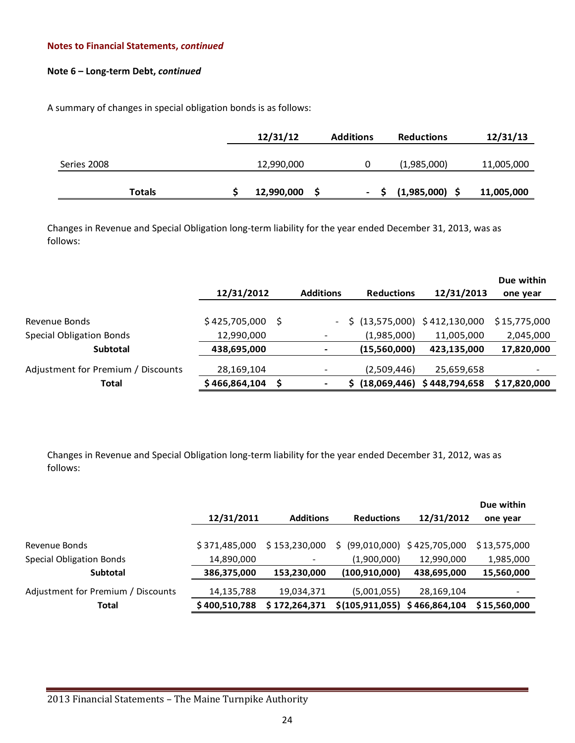# **Note 6 – Long‐term Debt,** *continued*

A summary of changes in special obligation bonds is as follows:

|               | 12/31/12   | <b>Additions</b> | <b>Reductions</b> | 12/31/13   |
|---------------|------------|------------------|-------------------|------------|
|               |            |                  |                   |            |
| Series 2008   | 12,990,000 |                  | (1,985,000)       | 11,005,000 |
|               |            |                  |                   |            |
| <b>Totals</b> | 12,990,000 |                  | $(1,985,000)$ \$  | 11,005,000 |

Changes in Revenue and Special Obligation long‐term liability for the year ended December 31, 2013, was as follows:

|                                    |               |     |                          |                              |               | Due within   |
|------------------------------------|---------------|-----|--------------------------|------------------------------|---------------|--------------|
|                                    | 12/31/2012    |     | <b>Additions</b>         | <b>Reductions</b>            | 12/31/2013    | one year     |
|                                    |               |     |                          |                              |               |              |
| Revenue Bonds                      | \$425,705,000 | - S |                          | \$(13,575,000) \$412,130,000 |               | \$15,775,000 |
| <b>Special Obligation Bonds</b>    | 12,990,000    |     | -                        | (1,985,000)                  | 11,005,000    | 2,045,000    |
| <b>Subtotal</b>                    | 438,695,000   |     | $\overline{\phantom{a}}$ | (15,560,000)                 | 423,135,000   | 17,820,000   |
| Adjustment for Premium / Discounts | 28,169,104    |     | -                        | (2,509,446)                  | 25,659,658    | -            |
| Total                              | \$466,864,104 |     |                          | \$(18,069,446)               | \$448,794,658 | \$17,820,000 |

Changes in Revenue and Special Obligation long‐term liability for the year ended December 31, 2012, was as follows:

|                                    |               |                          |                                   |             | Due within   |
|------------------------------------|---------------|--------------------------|-----------------------------------|-------------|--------------|
|                                    | 12/31/2011    | <b>Additions</b>         | <b>Reductions</b>                 | 12/31/2012  | one year     |
|                                    |               |                          |                                   |             |              |
| Revenue Bonds                      | \$371,485,000 | \$153,230,000            | \$ (99,010,000) \$ 425,705,000    |             | \$13,575,000 |
| <b>Special Obligation Bonds</b>    | 14,890,000    | $\overline{\phantom{a}}$ | (1,900,000)                       | 12,990,000  | 1,985,000    |
| <b>Subtotal</b>                    | 386,375,000   | 153,230,000              | (100, 910, 000)                   | 438,695,000 | 15,560,000   |
| Adjustment for Premium / Discounts | 14,135,788    | 19,034,371               | (5,001,055)                       | 28,169,104  |              |
| Total                              | \$400,510,788 | \$172,264,371            | \$(105, 911, 055) \$466, 864, 104 |             | \$15,560,000 |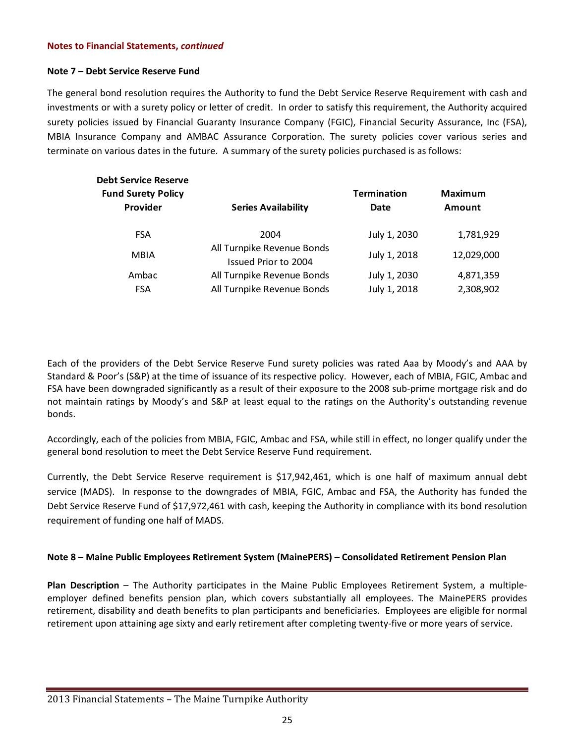# **Note 7 – Debt Service Reserve Fund**

The general bond resolution requires the Authority to fund the Debt Service Reserve Requirement with cash and investments or with a surety policy or letter of credit. In order to satisfy this requirement, the Authority acquired surety policies issued by Financial Guaranty Insurance Company (FGIC), Financial Security Assurance, Inc (FSA), MBIA Insurance Company and AMBAC Assurance Corporation. The surety policies cover various series and terminate on various dates in the future. A summary of the surety policies purchased is as follows:

| <b>Debt Service Reserve</b>           |                                                          |                              |                          |
|---------------------------------------|----------------------------------------------------------|------------------------------|--------------------------|
| <b>Fund Surety Policy</b><br>Provider | <b>Series Availability</b>                               | <b>Termination</b><br>Date   | <b>Maximum</b><br>Amount |
| <b>FSA</b>                            | 2004                                                     | July 1, 2030                 | 1,781,929                |
| <b>MBIA</b>                           | All Turnpike Revenue Bonds<br>Issued Prior to 2004       | July 1, 2018                 | 12,029,000               |
| Ambac<br><b>FSA</b>                   | All Turnpike Revenue Bonds<br>All Turnpike Revenue Bonds | July 1, 2030<br>July 1, 2018 | 4,871,359<br>2,308,902   |
|                                       |                                                          |                              |                          |

Each of the providers of the Debt Service Reserve Fund surety policies was rated Aaa by Moody's and AAA by Standard & Poor's (S&P) at the time of issuance of its respective policy. However, each of MBIA, FGIC, Ambac and FSA have been downgraded significantly as a result of their exposure to the 2008 sub‐prime mortgage risk and do not maintain ratings by Moody's and S&P at least equal to the ratings on the Authority's outstanding revenue bonds.

Accordingly, each of the policies from MBIA, FGIC, Ambac and FSA, while still in effect, no longer qualify under the general bond resolution to meet the Debt Service Reserve Fund requirement.

Currently, the Debt Service Reserve requirement is \$17,942,461, which is one half of maximum annual debt service (MADS). In response to the downgrades of MBIA, FGIC, Ambac and FSA, the Authority has funded the Debt Service Reserve Fund of \$17,972,461 with cash, keeping the Authority in compliance with its bond resolution requirement of funding one half of MADS.

# **Note 8 – Maine Public Employees Retirement System (MainePERS) – Consolidated Retirement Pension Plan**

**Plan Description** – The Authority participates in the Maine Public Employees Retirement System, a multiple‐ employer defined benefits pension plan, which covers substantially all employees. The MainePERS provides retirement, disability and death benefits to plan participants and beneficiaries. Employees are eligible for normal retirement upon attaining age sixty and early retirement after completing twenty‐five or more years of service.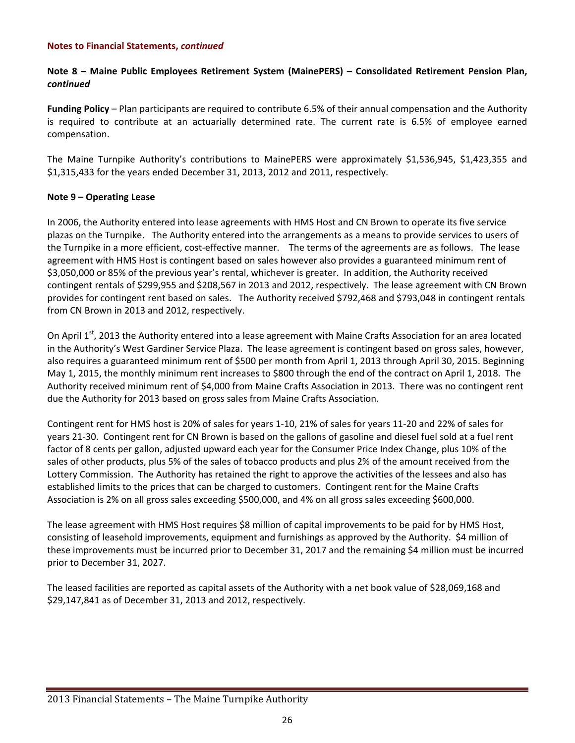# **Note 8 – Maine Public Employees Retirement System (MainePERS) – Consolidated Retirement Pension Plan,** *continued*

**Funding Policy** – Plan participants are required to contribute 6.5% of their annual compensation and the Authority is required to contribute at an actuarially determined rate. The current rate is 6.5% of employee earned compensation.

The Maine Turnpike Authority's contributions to MainePERS were approximately \$1,536,945, \$1,423,355 and \$1,315,433 for the years ended December 31, 2013, 2012 and 2011, respectively.

# **Note 9 – Operating Lease**

In 2006, the Authority entered into lease agreements with HMS Host and CN Brown to operate its five service plazas on the Turnpike. The Authority entered into the arrangements as a means to provide services to users of the Turnpike in a more efficient, cost-effective manner. The terms of the agreements are as follows. The lease agreement with HMS Host is contingent based on sales however also provides a guaranteed minimum rent of \$3,050,000 or 85% of the previous year's rental, whichever is greater. In addition, the Authority received contingent rentals of \$299,955 and \$208,567 in 2013 and 2012, respectively. The lease agreement with CN Brown provides for contingent rent based on sales. The Authority received \$792,468 and \$793,048 in contingent rentals from CN Brown in 2013 and 2012, respectively.

On April 1<sup>st</sup>, 2013 the Authority entered into a lease agreement with Maine Crafts Association for an area located in the Authority's West Gardiner Service Plaza. The lease agreement is contingent based on gross sales, however, also requires a guaranteed minimum rent of \$500 per month from April 1, 2013 through April 30, 2015. Beginning May 1, 2015, the monthly minimum rent increases to \$800 through the end of the contract on April 1, 2018. The Authority received minimum rent of \$4,000 from Maine Crafts Association in 2013. There was no contingent rent due the Authority for 2013 based on gross sales from Maine Crafts Association.

Contingent rent for HMS host is 20% of sales for years 1‐10, 21% of sales for years 11‐20 and 22% of sales for years 21‐30. Contingent rent for CN Brown is based on the gallons of gasoline and diesel fuel sold at a fuel rent factor of 8 cents per gallon, adjusted upward each year for the Consumer Price Index Change, plus 10% of the sales of other products, plus 5% of the sales of tobacco products and plus 2% of the amount received from the Lottery Commission. The Authority has retained the right to approve the activities of the lessees and also has established limits to the prices that can be charged to customers. Contingent rent for the Maine Crafts Association is 2% on all gross sales exceeding \$500,000, and 4% on all gross sales exceeding \$600,000.

The lease agreement with HMS Host requires \$8 million of capital improvements to be paid for by HMS Host, consisting of leasehold improvements, equipment and furnishings as approved by the Authority. \$4 million of these improvements must be incurred prior to December 31, 2017 and the remaining \$4 million must be incurred prior to December 31, 2027.

The leased facilities are reported as capital assets of the Authority with a net book value of \$28,069,168 and \$29,147,841 as of December 31, 2013 and 2012, respectively.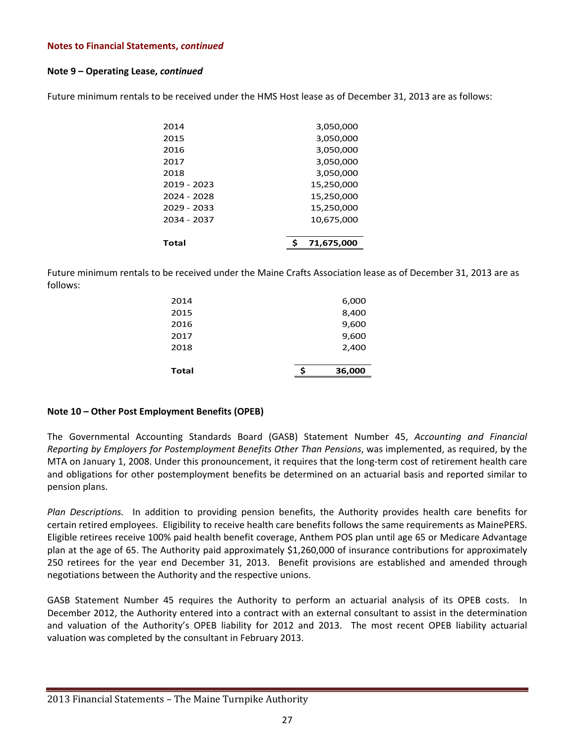# **Note 9 – Operating Lease,** *continued*

Future minimum rentals to be received under the HMS Host lease as of December 31, 2013 are as follows:

| 2014        | 3,050,000  |
|-------------|------------|
| 2015        | 3,050,000  |
| 2016        | 3,050,000  |
| 2017        | 3,050,000  |
| 2018        | 3,050,000  |
| 2019 - 2023 | 15,250,000 |
| 2024 - 2028 | 15,250,000 |
| 2029 - 2033 | 15,250,000 |
| 2034 - 2037 | 10,675,000 |
|             |            |
| Total       | 71.675.000 |

Future minimum rentals to be received under the Maine Crafts Association lease as of December 31, 2013 are as follows:

| Total |  | 36,000 |
|-------|--|--------|
|       |  |        |
| 2018  |  | 2,400  |
| 2017  |  | 9,600  |
| 2016  |  | 9,600  |
| 2015  |  | 8,400  |
| 2014  |  | 6,000  |
|       |  |        |

# **Note 10 – Other Post Employment Benefits (OPEB)**

The Governmental Accounting Standards Board (GASB) Statement Number 45, *Accounting and Financial Reporting by Employers for Postemployment Benefits Other Than Pensions*, was implemented, as required, by the MTA on January 1, 2008. Under this pronouncement, it requires that the long-term cost of retirement health care and obligations for other postemployment benefits be determined on an actuarial basis and reported similar to pension plans.

*Plan Descriptions.*  In addition to providing pension benefits, the Authority provides health care benefits for certain retired employees. Eligibility to receive health care benefits follows the same requirements as MainePERS. Eligible retirees receive 100% paid health benefit coverage, Anthem POS plan until age 65 or Medicare Advantage plan at the age of 65. The Authority paid approximately \$1,260,000 of insurance contributions for approximately 250 retirees for the year end December 31, 2013. Benefit provisions are established and amended through negotiations between the Authority and the respective unions.

GASB Statement Number 45 requires the Authority to perform an actuarial analysis of its OPEB costs. In December 2012, the Authority entered into a contract with an external consultant to assist in the determination and valuation of the Authority's OPEB liability for 2012 and 2013. The most recent OPEB liability actuarial valuation was completed by the consultant in February 2013.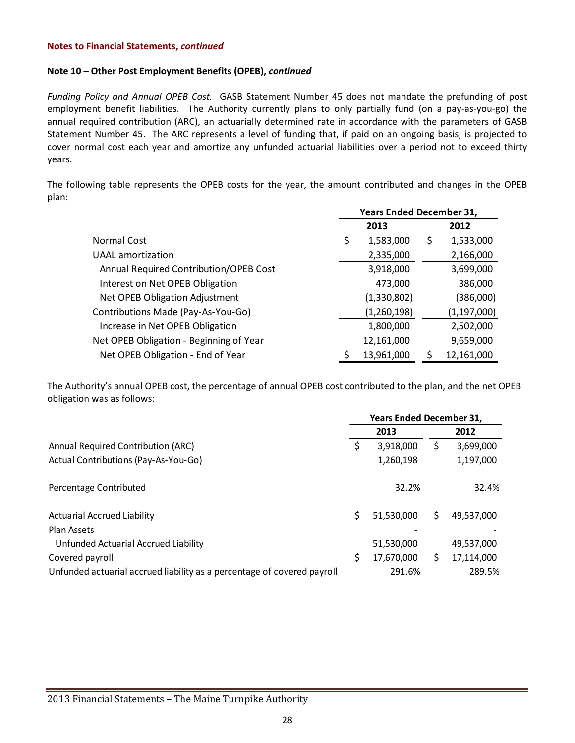#### **Note 10 – Other Post Employment Benefits (OPEB),** *continued*

*Funding Policy and Annual OPEB Cost.* GASB Statement Number 45 does not mandate the prefunding of post employment benefit liabilities. The Authority currently plans to only partially fund (on a pay-as-you-go) the annual required contribution (ARC), an actuarially determined rate in accordance with the parameters of GASB Statement Number 45. The ARC represents a level of funding that, if paid on an ongoing basis, is projected to cover normal cost each year and amortize any unfunded actuarial liabilities over a period not to exceed thirty years.

The following table represents the OPEB costs for the year, the amount contributed and changes in the OPEB plan:

|                                         | <b>Years Ended December 31,</b> |             |      |               |  |
|-----------------------------------------|---------------------------------|-------------|------|---------------|--|
|                                         |                                 | 2013        | 2012 |               |  |
| Normal Cost                             | \$                              | 1,583,000   | Ş    | 1,533,000     |  |
| UAAL amortization                       |                                 | 2,335,000   |      | 2,166,000     |  |
| Annual Required Contribution/OPEB Cost  |                                 | 3,918,000   |      | 3,699,000     |  |
| Interest on Net OPEB Obligation         |                                 | 473,000     |      | 386,000       |  |
| Net OPEB Obligation Adjustment          |                                 | (1,330,802) |      | (386,000)     |  |
| Contributions Made (Pay-As-You-Go)      |                                 | (1,260,198) |      | (1, 197, 000) |  |
| Increase in Net OPEB Obligation         |                                 | 1,800,000   |      | 2,502,000     |  |
| Net OPEB Obligation - Beginning of Year | 12,161,000                      |             |      | 9,659,000     |  |
| Net OPEB Obligation - End of Year       | S                               | 13,961,000  |      | 12,161,000    |  |

The Authority's annual OPEB cost, the percentage of annual OPEB cost contributed to the plan, and the net OPEB obligation was as follows:

|                                                                         | <b>Years Ended December 31,</b> |            |    |            |
|-------------------------------------------------------------------------|---------------------------------|------------|----|------------|
|                                                                         |                                 | 2013       |    | 2012       |
| <b>Annual Required Contribution (ARC)</b>                               | \$                              | 3,918,000  | \$ | 3,699,000  |
| Actual Contributions (Pay-As-You-Go)                                    |                                 | 1,260,198  |    | 1,197,000  |
| Percentage Contributed                                                  |                                 | 32.2%      |    | 32.4%      |
| <b>Actuarial Accrued Liability</b>                                      | Ś                               | 51,530,000 | Ś. | 49,537,000 |
| Plan Assets                                                             |                                 |            |    |            |
| Unfunded Actuarial Accrued Liability                                    |                                 | 51,530,000 |    | 49,537,000 |
| Covered payroll                                                         | \$                              | 17,670,000 | Ś. | 17,114,000 |
| Unfunded actuarial accrued liability as a percentage of covered payroll |                                 | 291.6%     |    | 289.5%     |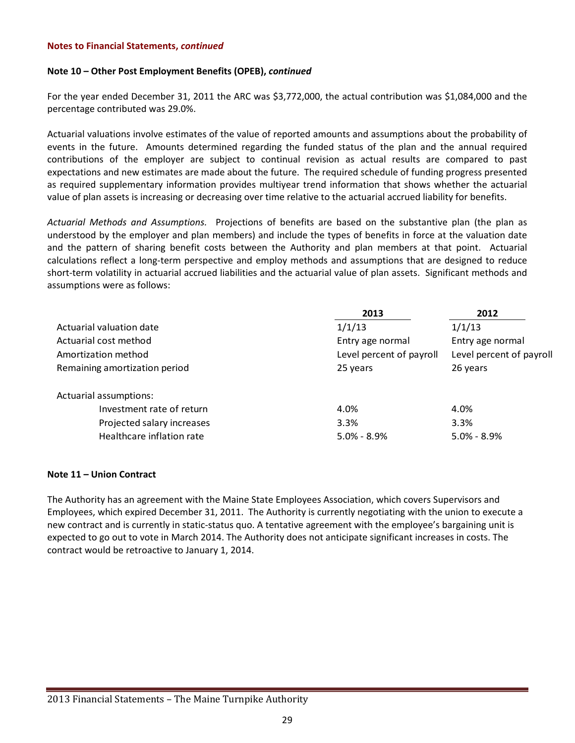#### **Note 10 – Other Post Employment Benefits (OPEB),** *continued*

For the year ended December 31, 2011 the ARC was \$3,772,000, the actual contribution was \$1,084,000 and the percentage contributed was 29.0%.

Actuarial valuations involve estimates of the value of reported amounts and assumptions about the probability of events in the future. Amounts determined regarding the funded status of the plan and the annual required contributions of the employer are subject to continual revision as actual results are compared to past expectations and new estimates are made about the future. The required schedule of funding progress presented as required supplementary information provides multiyear trend information that shows whether the actuarial value of plan assets is increasing or decreasing over time relative to the actuarial accrued liability for benefits.

*Actuarial Methods and Assumptions.*  Projections of benefits are based on the substantive plan (the plan as understood by the employer and plan members) and include the types of benefits in force at the valuation date and the pattern of sharing benefit costs between the Authority and plan members at that point. Actuarial calculations reflect a long‐term perspective and employ methods and assumptions that are designed to reduce short-term volatility in actuarial accrued liabilities and the actuarial value of plan assets. Significant methods and assumptions were as follows:

|                               | 2013                     | 2012                     |
|-------------------------------|--------------------------|--------------------------|
| Actuarial valuation date      | 1/1/13                   | 1/1/13                   |
| Actuarial cost method         | Entry age normal         | Entry age normal         |
| Amortization method           | Level percent of payroll | Level percent of payroll |
| Remaining amortization period | 25 years                 | 26 years                 |
| Actuarial assumptions:        |                          |                          |
| Investment rate of return     | 4.0%                     | 4.0%                     |
| Projected salary increases    | 3.3%                     | 3.3%                     |
| Healthcare inflation rate     | $5.0\% - 8.9\%$          | $5.0\% - 8.9\%$          |

# **Note 11 – Union Contract**

The Authority has an agreement with the Maine State Employees Association, which covers Supervisors and Employees, which expired December 31, 2011. The Authority is currently negotiating with the union to execute a new contract and is currently in static‐status quo. A tentative agreement with the employee's bargaining unit is expected to go out to vote in March 2014. The Authority does not anticipate significant increases in costs. The contract would be retroactive to January 1, 2014.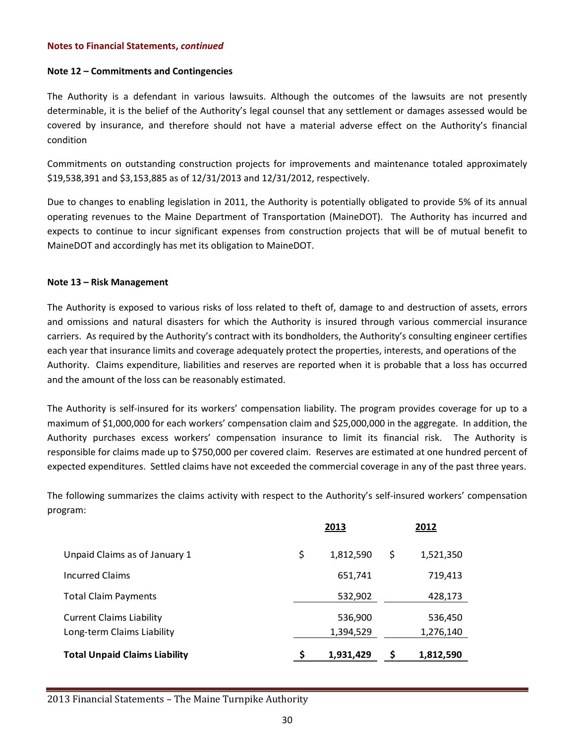#### **Note 12 – Commitments and Contingencies**

The Authority is a defendant in various lawsuits. Although the outcomes of the lawsuits are not presently determinable, it is the belief of the Authority's legal counsel that any settlement or damages assessed would be covered by insurance, and therefore should not have a material adverse effect on the Authority's financial condition

Commitments on outstanding construction projects for improvements and maintenance totaled approximately \$19,538,391 and \$3,153,885 as of 12/31/2013 and 12/31/2012, respectively.

Due to changes to enabling legislation in 2011, the Authority is potentially obligated to provide 5% of its annual operating revenues to the Maine Department of Transportation (MaineDOT). The Authority has incurred and expects to continue to incur significant expenses from construction projects that will be of mutual benefit to MaineDOT and accordingly has met its obligation to MaineDOT.

#### **Note 13 – Risk Management**

The Authority is exposed to various risks of loss related to theft of, damage to and destruction of assets, errors and omissions and natural disasters for which the Authority is insured through various commercial insurance carriers. As required by the Authority's contract with its bondholders, the Authority's consulting engineer certifies each year that insurance limits and coverage adequately protect the properties, interests, and operations of the Authority. Claims expenditure, liabilities and reserves are reported when it is probable that a loss has occurred and the amount of the loss can be reasonably estimated.

The Authority is self‐insured for its workers' compensation liability. The program provides coverage for up to a maximum of \$1,000,000 for each workers' compensation claim and \$25,000,000 in the aggregate. In addition, the Authority purchases excess workers' compensation insurance to limit its financial risk. The Authority is responsible for claims made up to \$750,000 per covered claim. Reserves are estimated at one hundred percent of expected expenditures. Settled claims have not exceeded the commercial coverage in any of the past three years.

The following summarizes the claims activity with respect to the Authority's self-insured workers' compensation program:

|                                                               | 2013 |                      | 2012 |                      |
|---------------------------------------------------------------|------|----------------------|------|----------------------|
| Unpaid Claims as of January 1                                 | \$   | 1,812,590            | \$   | 1,521,350            |
| <b>Incurred Claims</b>                                        |      | 651,741              |      | 719,413              |
| <b>Total Claim Payments</b>                                   |      | 532,902              |      | 428,173              |
| <b>Current Claims Liability</b><br>Long-term Claims Liability |      | 536,900<br>1,394,529 |      | 536,450<br>1,276,140 |
| <b>Total Unpaid Claims Liability</b>                          |      | 1,931,429            |      | 1,812,590            |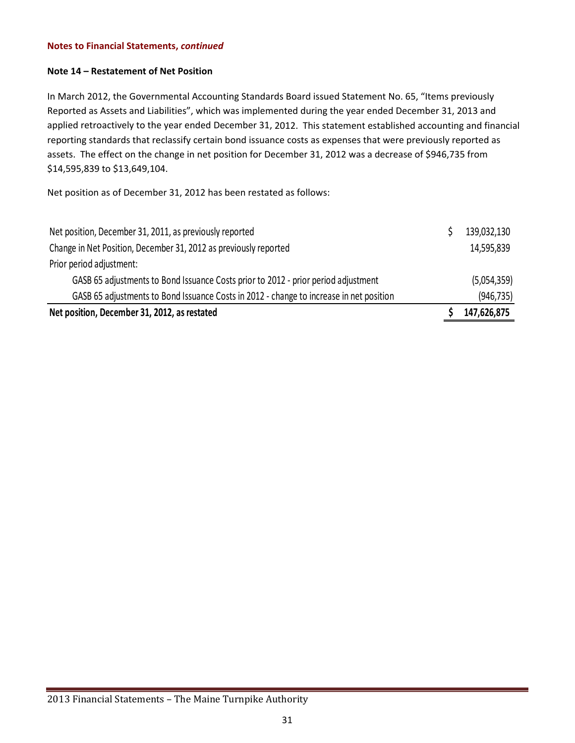#### **Note 14 – Restatement of Net Position**

In March 2012, the Governmental Accounting Standards Board issued Statement No. 65, "Items previously Reported as Assets and Liabilities", which was implemented during the year ended December 31, 2013 and applied retroactively to the year ended December 31, 2012. This statement established accounting and financial reporting standards that reclassify certain bond issuance costs as expenses that were previously reported as assets. The effect on the change in net position for December 31, 2012 was a decrease of \$946,735 from \$14,595,839 to \$13,649,104.

Net position as of December 31, 2012 has been restated as follows:

| Net position, December 31, 2011, as previously reported                                 | 139,032,130 |
|-----------------------------------------------------------------------------------------|-------------|
| Change in Net Position, December 31, 2012 as previously reported                        | 14,595,839  |
| Prior period adjustment:                                                                |             |
| GASB 65 adjustments to Bond Issuance Costs prior to 2012 - prior period adjustment      | (5,054,359) |
| GASB 65 adjustments to Bond Issuance Costs in 2012 - change to increase in net position | (946, 735)  |
| Net position, December 31, 2012, as restated                                            | 147,626,875 |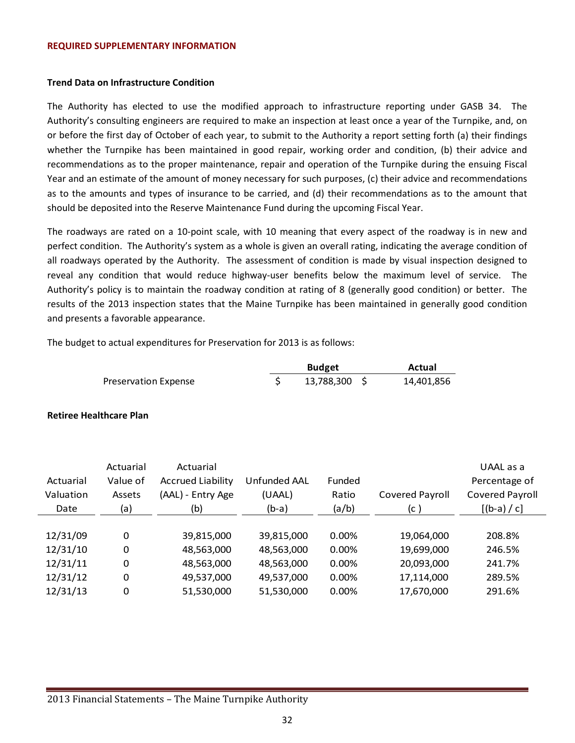#### **REQUIRED SUPPLEMENTARY INFORMATION**

#### **Trend Data on Infrastructure Condition**

The Authority has elected to use the modified approach to infrastructure reporting under GASB 34. The Authority's consulting engineers are required to make an inspection at least once a year of the Turnpike, and, on or before the first day of October of each year, to submit to the Authority a report setting forth (a) their findings whether the Turnpike has been maintained in good repair, working order and condition, (b) their advice and recommendations as to the proper maintenance, repair and operation of the Turnpike during the ensuing Fiscal Year and an estimate of the amount of money necessary for such purposes, (c) their advice and recommendations as to the amounts and types of insurance to be carried, and (d) their recommendations as to the amount that should be deposited into the Reserve Maintenance Fund during the upcoming Fiscal Year.

The roadways are rated on a 10‐point scale, with 10 meaning that every aspect of the roadway is in new and perfect condition. The Authority's system as a whole is given an overall rating, indicating the average condition of all roadways operated by the Authority. The assessment of condition is made by visual inspection designed to reveal any condition that would reduce highway-user benefits below the maximum level of service. The Authority's policy is to maintain the roadway condition at rating of 8 (generally good condition) or better. The results of the 2013 inspection states that the Maine Turnpike has been maintained in generally good condition and presents a favorable appearance.

The budget to actual expenditures for Preservation for 2013 is as follows:

|                      | <b>Budget</b> | Actual     |
|----------------------|---------------|------------|
| Preservation Expense | 13,788,300 \$ | 14,401,856 |

**Retiree Healthcare Plan**

|           | Actuarial | Actuarial                |              |        |                 | UAAL as a              |
|-----------|-----------|--------------------------|--------------|--------|-----------------|------------------------|
| Actuarial | Value of  | <b>Accrued Liability</b> | Unfunded AAL | Funded |                 | Percentage of          |
| Valuation | Assets    | (AAL) - Entry Age        | (UAAL)       | Ratio  | Covered Payroll | <b>Covered Payroll</b> |
| Date      | (a)       | (b)                      | $(b-a)$      | (a/b)  | (c)             | $[(b-a) / c]$          |
|           |           |                          |              |        |                 |                        |
| 12/31/09  | 0         | 39,815,000               | 39,815,000   | 0.00%  | 19,064,000      | 208.8%                 |
| 12/31/10  | 0         | 48,563,000               | 48,563,000   | 0.00%  | 19,699,000      | 246.5%                 |
| 12/31/11  | 0         | 48,563,000               | 48,563,000   | 0.00%  | 20,093,000      | 241.7%                 |
| 12/31/12  | 0         | 49,537,000               | 49,537,000   | 0.00%  | 17,114,000      | 289.5%                 |
| 12/31/13  | 0         | 51,530,000               | 51,530,000   | 0.00%  | 17,670,000      | 291.6%                 |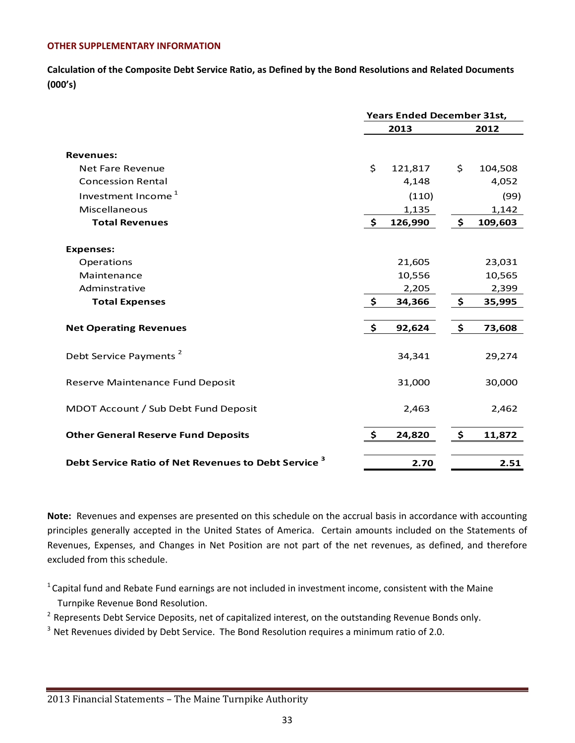# **OTHER SUPPLEMENTARY INFORMATION**

**Calculation of the Composite Debt Service Ratio, as Defined by the Bond Resolutions and Related Documents (000's)**

|                                                                 | <b>Years Ended December 31st,</b> |         |               |         |
|-----------------------------------------------------------------|-----------------------------------|---------|---------------|---------|
|                                                                 |                                   | 2013    |               | 2012    |
|                                                                 |                                   |         |               |         |
| <b>Revenues:</b>                                                |                                   |         |               |         |
| <b>Net Fare Revenue</b>                                         | \$                                | 121,817 | \$            | 104,508 |
| <b>Concession Rental</b>                                        |                                   | 4,148   |               | 4,052   |
| Investment Income <sup>1</sup>                                  |                                   | (110)   |               | (99)    |
| Miscellaneous                                                   |                                   | 1,135   |               | 1,142   |
| <b>Total Revenues</b>                                           | $\ddot{\bm{\zeta}}$               | 126,990 | $\frac{1}{2}$ | 109,603 |
| <b>Expenses:</b>                                                |                                   |         |               |         |
| Operations                                                      |                                   | 21,605  |               | 23,031  |
| Maintenance                                                     |                                   | 10,556  |               | 10,565  |
| Adminstrative                                                   |                                   | 2,205   |               | 2,399   |
| <b>Total Expenses</b>                                           | $\ddot{\bm{\zeta}}$               | 34,366  | \$            | 35,995  |
|                                                                 |                                   |         |               |         |
| <b>Net Operating Revenues</b>                                   | $\ddot{\bm{\zeta}}$               | 92,624  | \$            | 73,608  |
| Debt Service Payments <sup>2</sup>                              |                                   | 34,341  |               | 29,274  |
| Reserve Maintenance Fund Deposit                                |                                   | 31,000  |               | 30,000  |
| MDOT Account / Sub Debt Fund Deposit                            |                                   | 2,463   |               | 2,462   |
| <b>Other General Reserve Fund Deposits</b>                      | \$                                | 24,820  | \$            | 11,872  |
| Debt Service Ratio of Net Revenues to Debt Service <sup>3</sup> |                                   | 2.70    |               | 2.51    |

**Note:** Revenues and expenses are presented on this schedule on the accrual basis in accordance with accounting principles generally accepted in the United States of America. Certain amounts included on the Statements of Revenues, Expenses, and Changes in Net Position are not part of the net revenues, as defined, and therefore excluded from this schedule.

 $1$  Capital fund and Rebate Fund earnings are not included in investment income, consistent with the Maine Turnpike Revenue Bond Resolution.

<sup>2</sup> Represents Debt Service Deposits, net of capitalized interest, on the outstanding Revenue Bonds only.

<sup>3</sup> Net Revenues divided by Debt Service. The Bond Resolution requires a minimum ratio of 2.0.